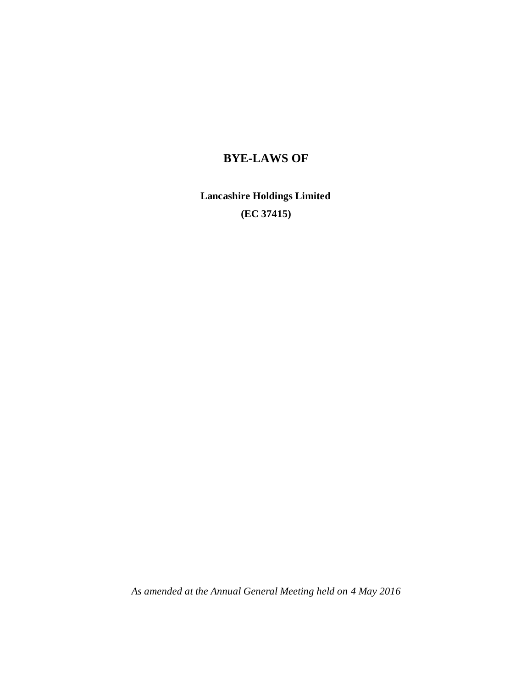# **BYE-LAWS OF**

**Lancashire Holdings Limited (EC 37415)**

*As amended at the Annual General Meeting held on 4 May 2016*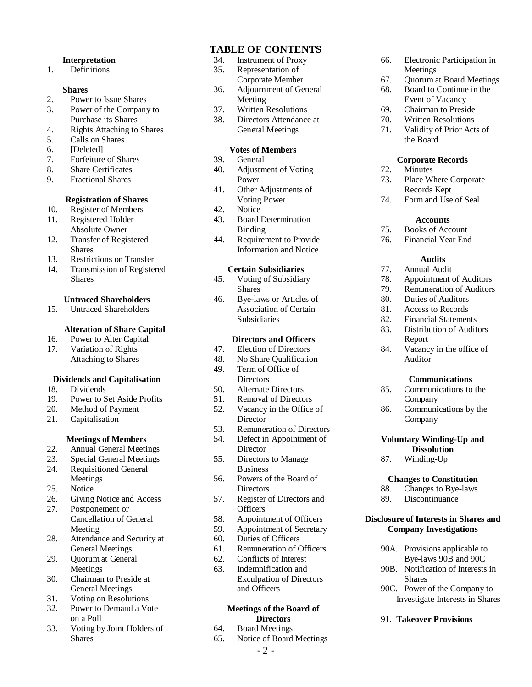#### **Interpretation**

1. Definitions

#### **Shares**

- 2. Power to Issue Shares
- 3. Power of the Company to Purchase its Shares
- 4. Rights Attaching to Shares
- 5. Calls on Shares
- 6. [Deleted]
- 7. Forfeiture of Shares
- 8. Share Certificates
- 9. Fractional Shares

#### **Registration of Shares**

- 10. Register of Members 11. Registered Holder Absolute Owner
- 12. Transfer of Registered Shares
- 13. Restrictions on Transfer
- 14. Transmission of Registered Shares

#### **Untraced Shareholders**

15. Untraced Shareholders

#### **Alteration of Share Capital**

16. Power to Alter Capital 17. Variation of Rights Attaching to Shares

#### **Dividends and Capitalisation**

- 18. Dividends
- 19. Power to Set Aside Profits
- 20. Method of Payment
- 21. Capitalisation

#### **Meetings of Members**

- 22. Annual General Meetings
- 23. Special General Meetings<br>24. Requisitioned General **Requisitioned General**
- Meetings 25. Notice
- 26. Giving Notice and Access
- 27. Postponement or Cancellation of General Meeting
- 28. Attendance and Security at General Meetings
- 29. Quorum at General Meetings
- 30. Chairman to Preside at General Meetings
- 31. Voting on Resolutions
- 32. Power to Demand a Vote on a Poll
- 33. Voting by Joint Holders of Shares

# **TABLE OF CONTENTS**

- 34. Instrument of Proxy
- 35. Representation of
- Corporate Member 36. Adjournment of General
	- Meeting
- 37. Written Resolutions 38. Directors Attendance at
- General Meetings

#### **Votes of Members**

- 39. General
- 40. Adjustment of Voting Power
- 41. Other Adjustments of Voting Power
- 42. Notice
- 43. Board Determination Binding
- 44. Requirement to Provide Information and Notice

#### **Certain Subsidiaries**

- 45. Voting of Subsidiary **Shares**
- 46. Bye-laws or Articles of Association of Certain Subsidiaries

#### **Directors and Officers**

- 47. Election of Directors
- 48. No Share Qualification
- 49. Term of Office of
- **Directors**
- 50. Alternate Directors
- 51. Removal of Directors
- 52. Vacancy in the Office of **Director**
- 53. Remuneration of Directors
- 54. Defect in Appointment of **Director**
- 55. Directors to Manage Business
- 56. Powers of the Board of **Directors**
- 57. Register of Directors and **Officers**
- 58. Appointment of Officers
- 59. Appointment of Secretary
- 60. Duties of Officers
- 61. Remuneration of Officers
- 62. Conflicts of Interest
- 63. Indemnification and Exculpation of Directors and Officers

#### **Meetings of the Board of Directors**

- 64. Board Meetings
- 65. Notice of Board Meetings
- 66. Electronic Participation in Meetings
- 67. Quorum at Board Meetings
- 68. Board to Continue in the Event of Vacancy
- 69. Chairman to Preside
- 70. Written Resolutions
- 71. Validity of Prior Acts of the Board

### **Corporate Records**

- 72. Minutes
- 73. Place Where Corporate Records Kept
- 74. Form and Use of Seal

### **Accounts**

- 75. Books of Account
- 76. Financial Year End

# **Audits**

- 77. Annual Audit
- 78. Appointment of Auditors
- 79. Remuneration of Auditors
- 80. Duties of Auditors
- 81. Access to Records

Company 86. Communications by the Company

87. Winding-Up

- 82. Financial Statements
- 83. Distribution of Auditors Report
- 84. Vacancy in the office of Auditor

**Voluntary Winding-Up and Dissolution**

**Changes to Constitution** 88. Changes to Bye-laws 89. Discontinuance

**Disclosure of Interests in Shares and Company Investigations**

> 90A. Provisions applicable to Bye-laws 90B and 90C 90B. Notification of Interests in

90C. Power of the Company to Investigate Interests in Shares

91. **Takeover Provisions**

Shares

#### **Communications** 85. Communications to the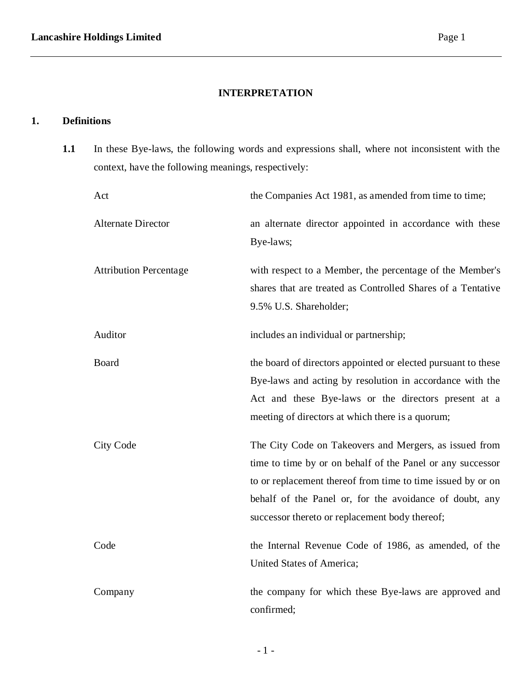# **INTERPRETATION**

# **1. Definitions**

**1.1** In these Bye-laws, the following words and expressions shall, where not inconsistent with the context, have the following meanings, respectively:

| Act                           | the Companies Act 1981, as amended from time to time;                                                                                                                                                                                                                                            |
|-------------------------------|--------------------------------------------------------------------------------------------------------------------------------------------------------------------------------------------------------------------------------------------------------------------------------------------------|
| <b>Alternate Director</b>     | an alternate director appointed in accordance with these<br>Bye-laws;                                                                                                                                                                                                                            |
| <b>Attribution Percentage</b> | with respect to a Member, the percentage of the Member's<br>shares that are treated as Controlled Shares of a Tentative<br>9.5% U.S. Shareholder;                                                                                                                                                |
| Auditor                       | includes an individual or partnership;                                                                                                                                                                                                                                                           |
| Board                         | the board of directors appointed or elected pursuant to these<br>Bye-laws and acting by resolution in accordance with the<br>Act and these Bye-laws or the directors present at a<br>meeting of directors at which there is a quorum;                                                            |
| City Code                     | The City Code on Takeovers and Mergers, as issued from<br>time to time by or on behalf of the Panel or any successor<br>to or replacement thereof from time to time issued by or on<br>behalf of the Panel or, for the avoidance of doubt, any<br>successor thereto or replacement body thereof; |
| Code                          | the Internal Revenue Code of 1986, as amended, of the<br>United States of America;                                                                                                                                                                                                               |
| Company                       | the company for which these Bye-laws are approved and<br>confirmed;                                                                                                                                                                                                                              |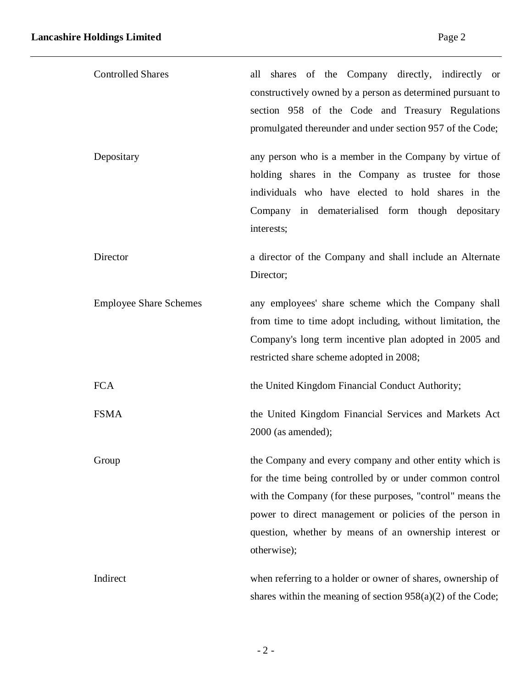| <b>Controlled Shares</b>      | shares of the Company directly, indirectly or<br>all<br>constructively owned by a person as determined pursuant to<br>section 958 of the Code and Treasury Regulations<br>promulgated thereunder and under section 957 of the Code;                                                                                  |
|-------------------------------|----------------------------------------------------------------------------------------------------------------------------------------------------------------------------------------------------------------------------------------------------------------------------------------------------------------------|
| Depositary                    | any person who is a member in the Company by virtue of<br>holding shares in the Company as trustee for those<br>individuals who have elected to hold shares in the<br>Company in dematerialised form though depositary<br>interests;                                                                                 |
| Director                      | a director of the Company and shall include an Alternate<br>Director;                                                                                                                                                                                                                                                |
| <b>Employee Share Schemes</b> | any employees' share scheme which the Company shall<br>from time to time adopt including, without limitation, the<br>Company's long term incentive plan adopted in 2005 and<br>restricted share scheme adopted in 2008;                                                                                              |
| <b>FCA</b>                    | the United Kingdom Financial Conduct Authority;                                                                                                                                                                                                                                                                      |
| <b>FSMA</b>                   | the United Kingdom Financial Services and Markets Act<br>$2000$ (as amended);                                                                                                                                                                                                                                        |
| Group                         | the Company and every company and other entity which is<br>for the time being controlled by or under common control<br>with the Company (for these purposes, "control" means the<br>power to direct management or policies of the person in<br>question, whether by means of an ownership interest or<br>otherwise); |
| Indirect                      | when referring to a holder or owner of shares, ownership of<br>shares within the meaning of section $958(a)(2)$ of the Code;                                                                                                                                                                                         |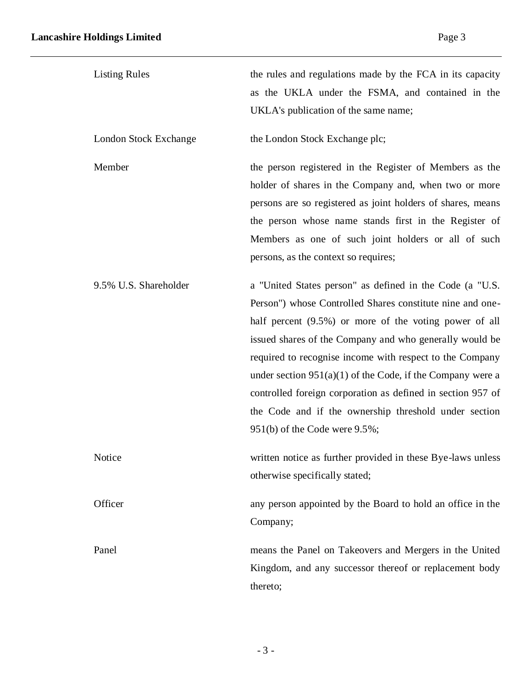| <b>Listing Rules</b>  | the rules and regulations made by the FCA in its capacity<br>as the UKLA under the FSMA, and contained in the<br>UKLA's publication of the same name;                                                                                                                                                                                                                                                                                                                                                                           |
|-----------------------|---------------------------------------------------------------------------------------------------------------------------------------------------------------------------------------------------------------------------------------------------------------------------------------------------------------------------------------------------------------------------------------------------------------------------------------------------------------------------------------------------------------------------------|
| London Stock Exchange | the London Stock Exchange plc;                                                                                                                                                                                                                                                                                                                                                                                                                                                                                                  |
| Member                | the person registered in the Register of Members as the<br>holder of shares in the Company and, when two or more<br>persons are so registered as joint holders of shares, means<br>the person whose name stands first in the Register of<br>Members as one of such joint holders or all of such<br>persons, as the context so requires;                                                                                                                                                                                         |
| 9.5% U.S. Shareholder | a "United States person" as defined in the Code (a "U.S.<br>Person") whose Controlled Shares constitute nine and one-<br>half percent (9.5%) or more of the voting power of all<br>issued shares of the Company and who generally would be<br>required to recognise income with respect to the Company<br>under section $951(a)(1)$ of the Code, if the Company were a<br>controlled foreign corporation as defined in section 957 of<br>the Code and if the ownership threshold under section<br>951(b) of the Code were 9.5%; |
| Notice                | written notice as further provided in these Bye-laws unless<br>otherwise specifically stated;                                                                                                                                                                                                                                                                                                                                                                                                                                   |
| Officer               | any person appointed by the Board to hold an office in the<br>Company;                                                                                                                                                                                                                                                                                                                                                                                                                                                          |
| Panel                 | means the Panel on Takeovers and Mergers in the United<br>Kingdom, and any successor thereof or replacement body<br>thereto;                                                                                                                                                                                                                                                                                                                                                                                                    |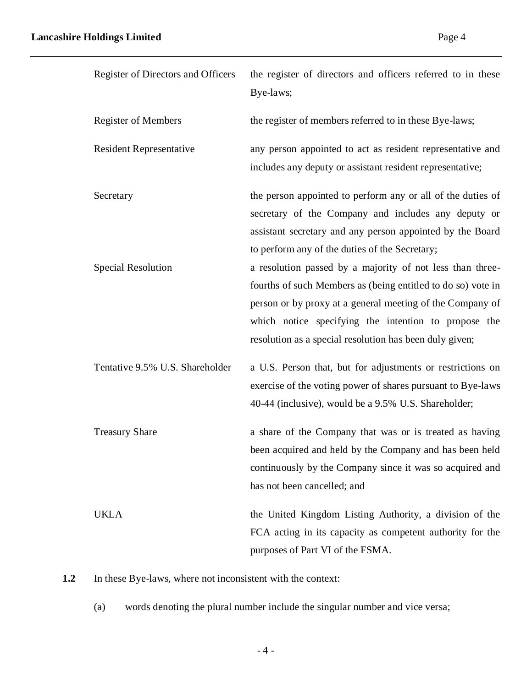| Register of Directors and Officers | the register of directors and officers referred to in these<br>Bye-laws;                                                                                                                                                                                                                                  |
|------------------------------------|-----------------------------------------------------------------------------------------------------------------------------------------------------------------------------------------------------------------------------------------------------------------------------------------------------------|
| <b>Register of Members</b>         | the register of members referred to in these Bye-laws;                                                                                                                                                                                                                                                    |
| <b>Resident Representative</b>     | any person appointed to act as resident representative and<br>includes any deputy or assistant resident representative;                                                                                                                                                                                   |
| Secretary                          | the person appointed to perform any or all of the duties of<br>secretary of the Company and includes any deputy or<br>assistant secretary and any person appointed by the Board<br>to perform any of the duties of the Secretary;                                                                         |
| <b>Special Resolution</b>          | a resolution passed by a majority of not less than three-<br>fourths of such Members as (being entitled to do so) vote in<br>person or by proxy at a general meeting of the Company of<br>which notice specifying the intention to propose the<br>resolution as a special resolution has been duly given; |
| Tentative 9.5% U.S. Shareholder    | a U.S. Person that, but for adjustments or restrictions on<br>exercise of the voting power of shares pursuant to Bye-laws<br>40-44 (inclusive), would be a 9.5% U.S. Shareholder;                                                                                                                         |
| <b>Treasury Share</b>              | a share of the Company that was or is treated as having<br>been acquired and held by the Company and has been held<br>continuously by the Company since it was so acquired and<br>has not been cancelled; and                                                                                             |
| <b>UKLA</b>                        | the United Kingdom Listing Authority, a division of the<br>FCA acting in its capacity as competent authority for the<br>purposes of Part VI of the FSMA.                                                                                                                                                  |

**1.2** In these Bye-laws, where not inconsistent with the context:

(a) words denoting the plural number include the singular number and vice versa;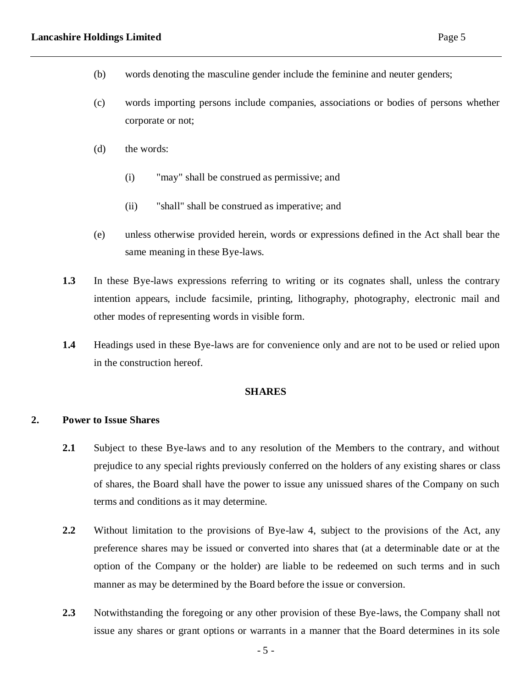- (b) words denoting the masculine gender include the feminine and neuter genders;
- (c) words importing persons include companies, associations or bodies of persons whether corporate or not;
- (d) the words:
	- (i) "may" shall be construed as permissive; and
	- (ii) "shall" shall be construed as imperative; and
- (e) unless otherwise provided herein, words or expressions defined in the Act shall bear the same meaning in these Bye-laws.
- **1.3** In these Bye-laws expressions referring to writing or its cognates shall, unless the contrary intention appears, include facsimile, printing, lithography, photography, electronic mail and other modes of representing words in visible form.
- **1.4** Headings used in these Bye-laws are for convenience only and are not to be used or relied upon in the construction hereof.

### **SHARES**

### **2. Power to Issue Shares**

- **2.1** Subject to these Bye-laws and to any resolution of the Members to the contrary, and without prejudice to any special rights previously conferred on the holders of any existing shares or class of shares, the Board shall have the power to issue any unissued shares of the Company on such terms and conditions as it may determine.
- **2.2** Without limitation to the provisions of Bye-law 4, subject to the provisions of the Act, any preference shares may be issued or converted into shares that (at a determinable date or at the option of the Company or the holder) are liable to be redeemed on such terms and in such manner as may be determined by the Board before the issue or conversion.
- **2.3** Notwithstanding the foregoing or any other provision of these Bye-laws, the Company shall not issue any shares or grant options or warrants in a manner that the Board determines in its sole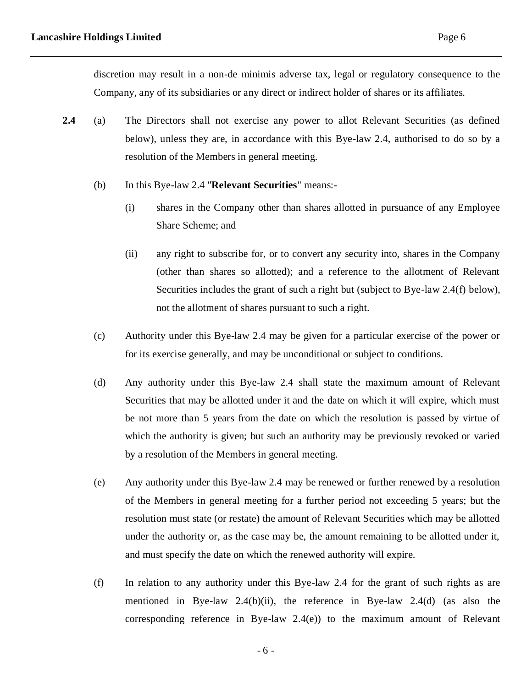discretion may result in a non-de minimis adverse tax, legal or regulatory consequence to the Company, any of its subsidiaries or any direct or indirect holder of shares or its affiliates.

- **2.4** (a) The Directors shall not exercise any power to allot Relevant Securities (as defined below), unless they are, in accordance with this Bye-law 2.4, authorised to do so by a resolution of the Members in general meeting.
	- (b) In this Bye-law 2.4 "**Relevant Securities**" means:-
		- (i) shares in the Company other than shares allotted in pursuance of any Employee Share Scheme; and
		- (ii) any right to subscribe for, or to convert any security into, shares in the Company (other than shares so allotted); and a reference to the allotment of Relevant Securities includes the grant of such a right but (subject to Bye-law 2.4(f) below), not the allotment of shares pursuant to such a right.
	- (c) Authority under this Bye-law 2.4 may be given for a particular exercise of the power or for its exercise generally, and may be unconditional or subject to conditions.
	- (d) Any authority under this Bye-law 2.4 shall state the maximum amount of Relevant Securities that may be allotted under it and the date on which it will expire, which must be not more than 5 years from the date on which the resolution is passed by virtue of which the authority is given; but such an authority may be previously revoked or varied by a resolution of the Members in general meeting.
	- (e) Any authority under this Bye-law 2.4 may be renewed or further renewed by a resolution of the Members in general meeting for a further period not exceeding 5 years; but the resolution must state (or restate) the amount of Relevant Securities which may be allotted under the authority or, as the case may be, the amount remaining to be allotted under it, and must specify the date on which the renewed authority will expire.
	- (f) In relation to any authority under this Bye-law 2.4 for the grant of such rights as are mentioned in Bye-law 2.4(b)(ii), the reference in Bye-law 2.4(d) (as also the corresponding reference in Bye-law 2.4(e)) to the maximum amount of Relevant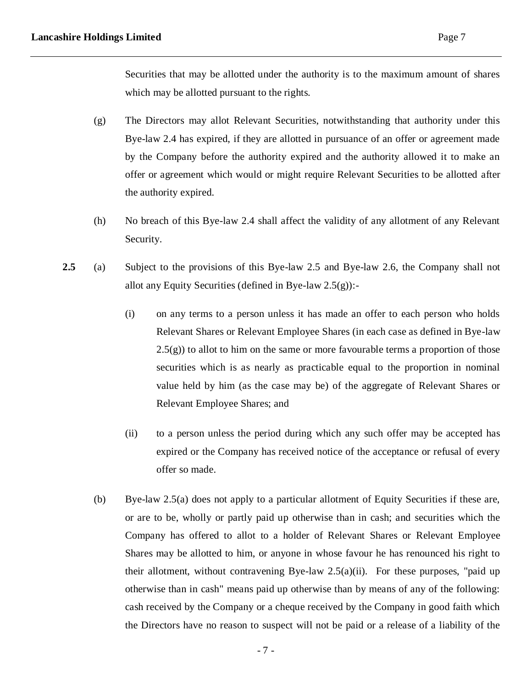Securities that may be allotted under the authority is to the maximum amount of shares which may be allotted pursuant to the rights.

- (g) The Directors may allot Relevant Securities, notwithstanding that authority under this Bye-law 2.4 has expired, if they are allotted in pursuance of an offer or agreement made by the Company before the authority expired and the authority allowed it to make an offer or agreement which would or might require Relevant Securities to be allotted after the authority expired.
- (h) No breach of this Bye-law 2.4 shall affect the validity of any allotment of any Relevant Security.
- **2.5** (a) Subject to the provisions of this Bye-law 2.5 and Bye-law 2.6, the Company shall not allot any Equity Securities (defined in Bye-law 2.5(g)):-
	- (i) on any terms to a person unless it has made an offer to each person who holds Relevant Shares or Relevant Employee Shares (in each case as defined in Bye-law  $2.5(g)$ ) to allot to him on the same or more favourable terms a proportion of those securities which is as nearly as practicable equal to the proportion in nominal value held by him (as the case may be) of the aggregate of Relevant Shares or Relevant Employee Shares; and
	- (ii) to a person unless the period during which any such offer may be accepted has expired or the Company has received notice of the acceptance or refusal of every offer so made.
	- (b) Bye-law 2.5(a) does not apply to a particular allotment of Equity Securities if these are, or are to be, wholly or partly paid up otherwise than in cash; and securities which the Company has offered to allot to a holder of Relevant Shares or Relevant Employee Shares may be allotted to him, or anyone in whose favour he has renounced his right to their allotment, without contravening Bye-law  $2.5(a)(ii)$ . For these purposes, "paid up otherwise than in cash" means paid up otherwise than by means of any of the following: cash received by the Company or a cheque received by the Company in good faith which the Directors have no reason to suspect will not be paid or a release of a liability of the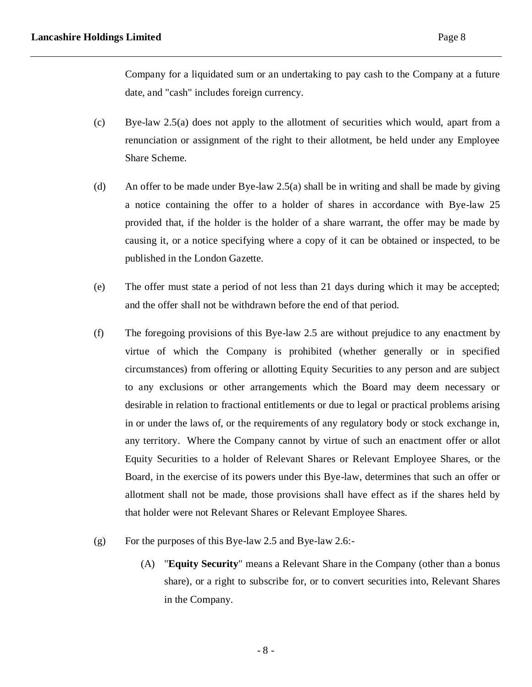Company for a liquidated sum or an undertaking to pay cash to the Company at a future date, and "cash" includes foreign currency.

- (c) Bye-law 2.5(a) does not apply to the allotment of securities which would, apart from a renunciation or assignment of the right to their allotment, be held under any Employee Share Scheme.
- (d) An offer to be made under Bye-law 2.5(a) shall be in writing and shall be made by giving a notice containing the offer to a holder of shares in accordance with Bye-law 25 provided that, if the holder is the holder of a share warrant, the offer may be made by causing it, or a notice specifying where a copy of it can be obtained or inspected, to be published in the London Gazette.
- (e) The offer must state a period of not less than 21 days during which it may be accepted; and the offer shall not be withdrawn before the end of that period.
- (f) The foregoing provisions of this Bye-law 2.5 are without prejudice to any enactment by virtue of which the Company is prohibited (whether generally or in specified circumstances) from offering or allotting Equity Securities to any person and are subject to any exclusions or other arrangements which the Board may deem necessary or desirable in relation to fractional entitlements or due to legal or practical problems arising in or under the laws of, or the requirements of any regulatory body or stock exchange in, any territory. Where the Company cannot by virtue of such an enactment offer or allot Equity Securities to a holder of Relevant Shares or Relevant Employee Shares, or the Board, in the exercise of its powers under this Bye-law, determines that such an offer or allotment shall not be made, those provisions shall have effect as if the shares held by that holder were not Relevant Shares or Relevant Employee Shares.
- (g) For the purposes of this Bye-law 2.5 and Bye-law 2.6:-
	- (A) "**Equity Security**" means a Relevant Share in the Company (other than a bonus share), or a right to subscribe for, or to convert securities into, Relevant Shares in the Company.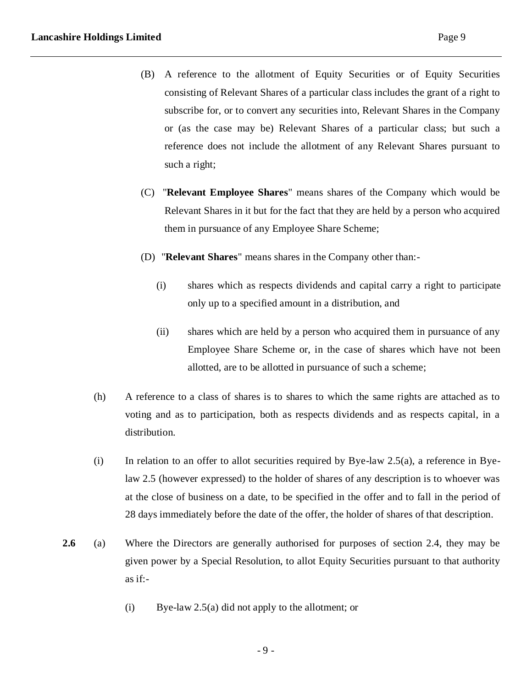- (B) A reference to the allotment of Equity Securities or of Equity Securities consisting of Relevant Shares of a particular class includes the grant of a right to subscribe for, or to convert any securities into, Relevant Shares in the Company or (as the case may be) Relevant Shares of a particular class; but such a reference does not include the allotment of any Relevant Shares pursuant to such a right;
- (C) "**Relevant Employee Shares**" means shares of the Company which would be Relevant Shares in it but for the fact that they are held by a person who acquired them in pursuance of any Employee Share Scheme;
- (D) "**Relevant Shares**" means shares in the Company other than:-
	- (i) shares which as respects dividends and capital carry a right to participate only up to a specified amount in a distribution, and
	- (ii) shares which are held by a person who acquired them in pursuance of any Employee Share Scheme or, in the case of shares which have not been allotted, are to be allotted in pursuance of such a scheme;
- (h) A reference to a class of shares is to shares to which the same rights are attached as to voting and as to participation, both as respects dividends and as respects capital, in a distribution.
- (i) In relation to an offer to allot securities required by Bye-law 2.5(a), a reference in Byelaw 2.5 (however expressed) to the holder of shares of any description is to whoever was at the close of business on a date, to be specified in the offer and to fall in the period of 28 days immediately before the date of the offer, the holder of shares of that description.
- **2.6** (a) Where the Directors are generally authorised for purposes of section 2.4, they may be given power by a Special Resolution, to allot Equity Securities pursuant to that authority as if:-
	- (i) Bye-law 2.5(a) did not apply to the allotment; or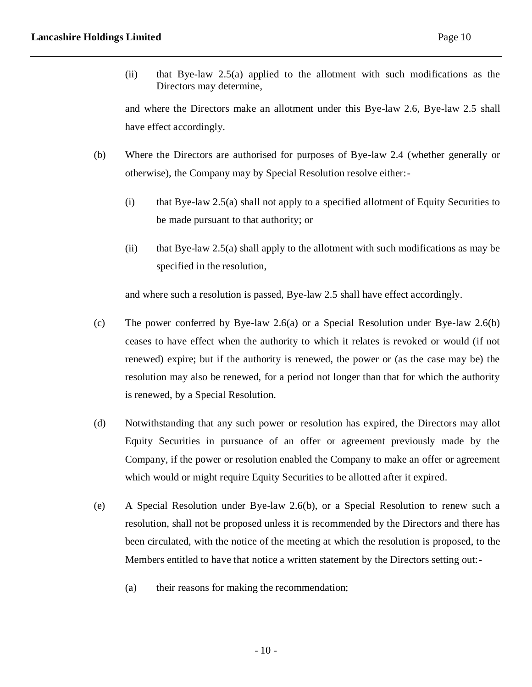(ii) that Bye-law 2.5(a) applied to the allotment with such modifications as the Directors may determine,

and where the Directors make an allotment under this Bye-law 2.6, Bye-law 2.5 shall have effect accordingly.

- (b) Where the Directors are authorised for purposes of Bye-law 2.4 (whether generally or otherwise), the Company may by Special Resolution resolve either:-
	- $(i)$  that Bye-law 2.5(a) shall not apply to a specified allotment of Equity Securities to be made pursuant to that authority; or
	- (ii) that Bye-law 2.5(a) shall apply to the allotment with such modifications as may be specified in the resolution,

and where such a resolution is passed, Bye-law 2.5 shall have effect accordingly.

- (c) The power conferred by Bye-law 2.6(a) or a Special Resolution under Bye-law 2.6(b) ceases to have effect when the authority to which it relates is revoked or would (if not renewed) expire; but if the authority is renewed, the power or (as the case may be) the resolution may also be renewed, for a period not longer than that for which the authority is renewed, by a Special Resolution.
- (d) Notwithstanding that any such power or resolution has expired, the Directors may allot Equity Securities in pursuance of an offer or agreement previously made by the Company, if the power or resolution enabled the Company to make an offer or agreement which would or might require Equity Securities to be allotted after it expired.
- (e) A Special Resolution under Bye-law 2.6(b), or a Special Resolution to renew such a resolution, shall not be proposed unless it is recommended by the Directors and there has been circulated, with the notice of the meeting at which the resolution is proposed, to the Members entitled to have that notice a written statement by the Directors setting out:-
	- (a) their reasons for making the recommendation;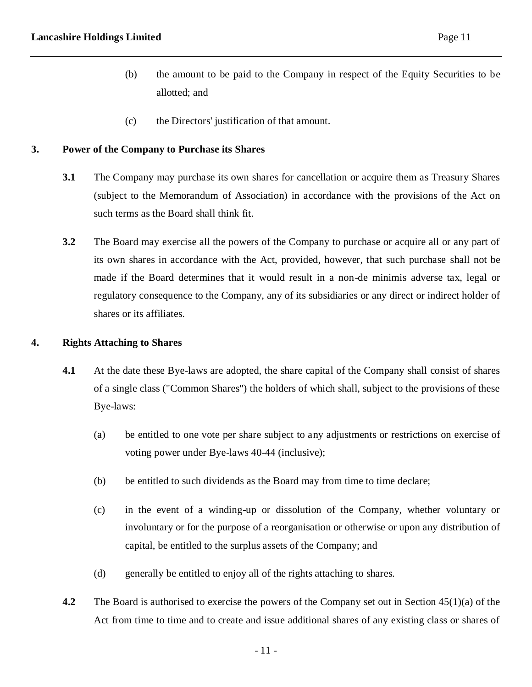- (b) the amount to be paid to the Company in respect of the Equity Securities to be allotted; and
- (c) the Directors' justification of that amount.

### **3. Power of the Company to Purchase its Shares**

- **3.1** The Company may purchase its own shares for cancellation or acquire them as Treasury Shares (subject to the Memorandum of Association) in accordance with the provisions of the Act on such terms as the Board shall think fit.
- **3.2** The Board may exercise all the powers of the Company to purchase or acquire all or any part of its own shares in accordance with the Act, provided, however, that such purchase shall not be made if the Board determines that it would result in a non-de minimis adverse tax, legal or regulatory consequence to the Company, any of its subsidiaries or any direct or indirect holder of shares or its affiliates.

### **4. Rights Attaching to Shares**

- **4.1** At the date these Bye-laws are adopted, the share capital of the Company shall consist of shares of a single class ("Common Shares") the holders of which shall, subject to the provisions of these Bye-laws:
	- (a) be entitled to one vote per share subject to any adjustments or restrictions on exercise of voting power under Bye-laws 40-44 (inclusive);
	- (b) be entitled to such dividends as the Board may from time to time declare;
	- (c) in the event of a winding-up or dissolution of the Company, whether voluntary or involuntary or for the purpose of a reorganisation or otherwise or upon any distribution of capital, be entitled to the surplus assets of the Company; and
	- (d) generally be entitled to enjoy all of the rights attaching to shares.
- **4.2** The Board is authorised to exercise the powers of the Company set out in Section 45(1)(a) of the Act from time to time and to create and issue additional shares of any existing class or shares of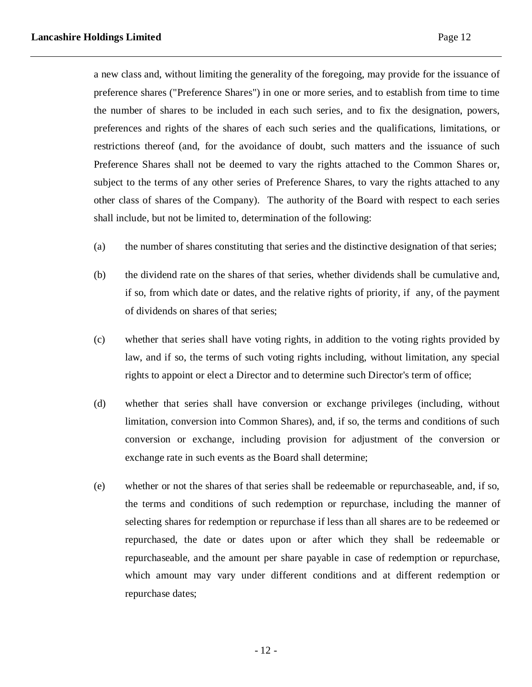a new class and, without limiting the generality of the foregoing, may provide for the issuance of preference shares ("Preference Shares") in one or more series, and to establish from time to time the number of shares to be included in each such series, and to fix the designation, powers, preferences and rights of the shares of each such series and the qualifications, limitations, or restrictions thereof (and, for the avoidance of doubt, such matters and the issuance of such Preference Shares shall not be deemed to vary the rights attached to the Common Shares or, subject to the terms of any other series of Preference Shares, to vary the rights attached to any other class of shares of the Company). The authority of the Board with respect to each series shall include, but not be limited to, determination of the following:

- (a) the number of shares constituting that series and the distinctive designation of that series;
- (b) the dividend rate on the shares of that series, whether dividends shall be cumulative and, if so, from which date or dates, and the relative rights of priority, if any, of the payment of dividends on shares of that series;
- (c) whether that series shall have voting rights, in addition to the voting rights provided by law, and if so, the terms of such voting rights including, without limitation, any special rights to appoint or elect a Director and to determine such Director's term of office;
- (d) whether that series shall have conversion or exchange privileges (including, without limitation, conversion into Common Shares), and, if so, the terms and conditions of such conversion or exchange, including provision for adjustment of the conversion or exchange rate in such events as the Board shall determine;
- (e) whether or not the shares of that series shall be redeemable or repurchaseable, and, if so, the terms and conditions of such redemption or repurchase, including the manner of selecting shares for redemption or repurchase if less than all shares are to be redeemed or repurchased, the date or dates upon or after which they shall be redeemable or repurchaseable, and the amount per share payable in case of redemption or repurchase, which amount may vary under different conditions and at different redemption or repurchase dates;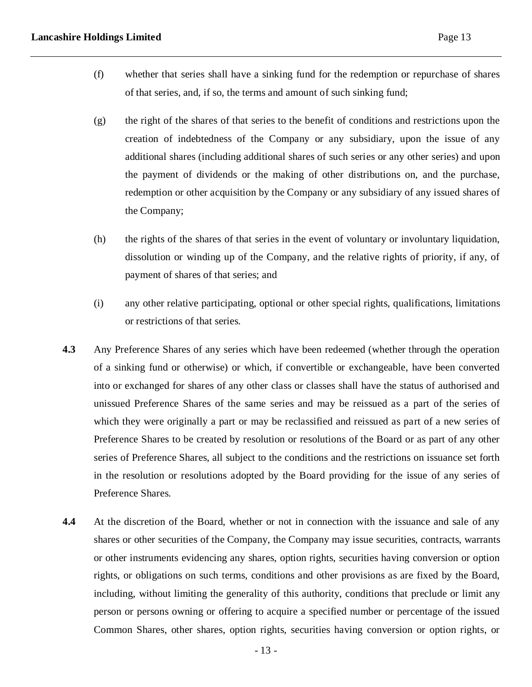- (f) whether that series shall have a sinking fund for the redemption or repurchase of shares of that series, and, if so, the terms and amount of such sinking fund;
- (g) the right of the shares of that series to the benefit of conditions and restrictions upon the creation of indebtedness of the Company or any subsidiary, upon the issue of any additional shares (including additional shares of such series or any other series) and upon the payment of dividends or the making of other distributions on, and the purchase, redemption or other acquisition by the Company or any subsidiary of any issued shares of the Company;
- (h) the rights of the shares of that series in the event of voluntary or involuntary liquidation, dissolution or winding up of the Company, and the relative rights of priority, if any, of payment of shares of that series; and
- (i) any other relative participating, optional or other special rights, qualifications, limitations or restrictions of that series.
- **4.3** Any Preference Shares of any series which have been redeemed (whether through the operation of a sinking fund or otherwise) or which, if convertible or exchangeable, have been converted into or exchanged for shares of any other class or classes shall have the status of authorised and unissued Preference Shares of the same series and may be reissued as a part of the series of which they were originally a part or may be reclassified and reissued as part of a new series of Preference Shares to be created by resolution or resolutions of the Board or as part of any other series of Preference Shares, all subject to the conditions and the restrictions on issuance set forth in the resolution or resolutions adopted by the Board providing for the issue of any series of Preference Shares.
- **4.4** At the discretion of the Board, whether or not in connection with the issuance and sale of any shares or other securities of the Company, the Company may issue securities, contracts, warrants or other instruments evidencing any shares, option rights, securities having conversion or option rights, or obligations on such terms, conditions and other provisions as are fixed by the Board, including, without limiting the generality of this authority, conditions that preclude or limit any person or persons owning or offering to acquire a specified number or percentage of the issued Common Shares, other shares, option rights, securities having conversion or option rights, or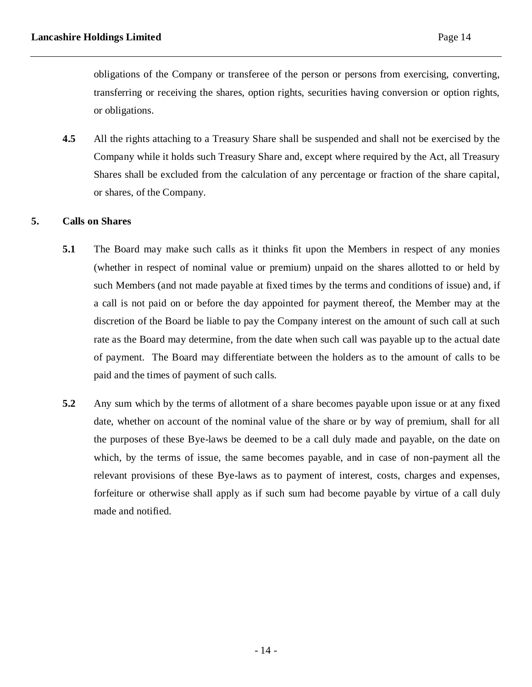obligations of the Company or transferee of the person or persons from exercising, converting, transferring or receiving the shares, option rights, securities having conversion or option rights, or obligations.

**4.5** All the rights attaching to a Treasury Share shall be suspended and shall not be exercised by the Company while it holds such Treasury Share and, except where required by the Act, all Treasury Shares shall be excluded from the calculation of any percentage or fraction of the share capital, or shares, of the Company.

# **5. Calls on Shares**

- **5.1** The Board may make such calls as it thinks fit upon the Members in respect of any monies (whether in respect of nominal value or premium) unpaid on the shares allotted to or held by such Members (and not made payable at fixed times by the terms and conditions of issue) and, if a call is not paid on or before the day appointed for payment thereof, the Member may at the discretion of the Board be liable to pay the Company interest on the amount of such call at such rate as the Board may determine, from the date when such call was payable up to the actual date of payment. The Board may differentiate between the holders as to the amount of calls to be paid and the times of payment of such calls.
- **5.2** Any sum which by the terms of allotment of a share becomes payable upon issue or at any fixed date, whether on account of the nominal value of the share or by way of premium, shall for all the purposes of these Bye-laws be deemed to be a call duly made and payable, on the date on which, by the terms of issue, the same becomes payable, and in case of non-payment all the relevant provisions of these Bye-laws as to payment of interest, costs, charges and expenses, forfeiture or otherwise shall apply as if such sum had become payable by virtue of a call duly made and notified.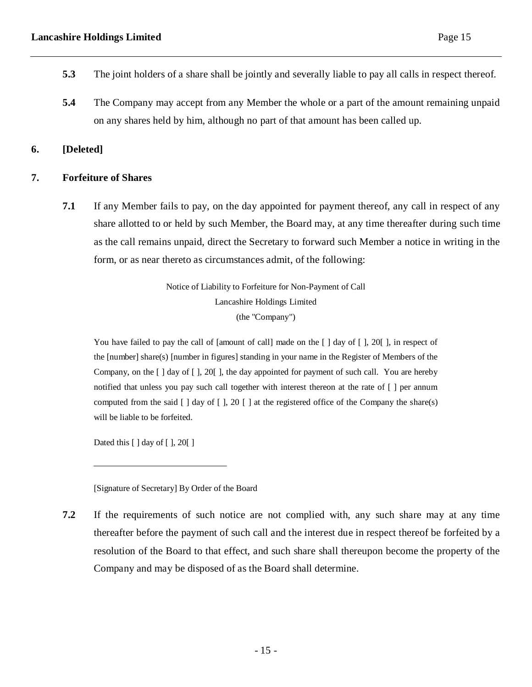- **5.3** The joint holders of a share shall be jointly and severally liable to pay all calls in respect thereof.
- **5.4** The Company may accept from any Member the whole or a part of the amount remaining unpaid on any shares held by him, although no part of that amount has been called up.

**6. [Deleted]**

# **7. Forfeiture of Shares**

**7.1** If any Member fails to pay, on the day appointed for payment thereof, any call in respect of any share allotted to or held by such Member, the Board may, at any time thereafter during such time as the call remains unpaid, direct the Secretary to forward such Member a notice in writing in the form, or as near thereto as circumstances admit, of the following:

> Notice of Liability to Forfeiture for Non-Payment of Call Lancashire Holdings Limited (the "Company")

You have failed to pay the call of [amount of call] made on the  $\lceil \cdot \rceil$  day of  $\lceil \cdot \rceil$ , 20  $\lceil \cdot \rceil$ , in respect of the [number] share(s) [number in figures] standing in your name in the Register of Members of the Company, on the [ ] day of [ ], 20[ ], the day appointed for payment of such call. You are hereby notified that unless you pay such call together with interest thereon at the rate of [ ] per annum computed from the said  $\lceil \cdot \rceil$  day of  $\lceil \cdot \rceil$ , 20  $\lceil \cdot \rceil$  at the registered office of the Company the share(s) will be liable to be forfeited.

Dated this [ ] day of [ ], 20[ ]

[Signature of Secretary] By Order of the Board

**7.2** If the requirements of such notice are not complied with, any such share may at any time thereafter before the payment of such call and the interest due in respect thereof be forfeited by a resolution of the Board to that effect, and such share shall thereupon become the property of the Company and may be disposed of as the Board shall determine.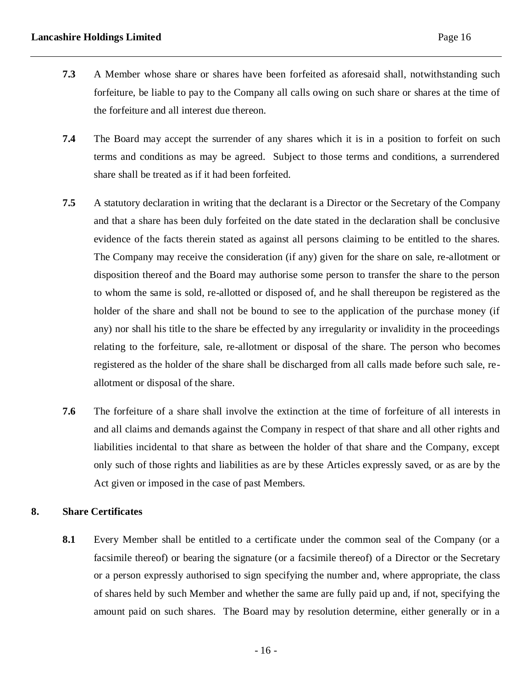- **7.3** A Member whose share or shares have been forfeited as aforesaid shall, notwithstanding such forfeiture, be liable to pay to the Company all calls owing on such share or shares at the time of the forfeiture and all interest due thereon.
- **7.4** The Board may accept the surrender of any shares which it is in a position to forfeit on such terms and conditions as may be agreed. Subject to those terms and conditions, a surrendered share shall be treated as if it had been forfeited.
- **7.5** A statutory declaration in writing that the declarant is a Director or the Secretary of the Company and that a share has been duly forfeited on the date stated in the declaration shall be conclusive evidence of the facts therein stated as against all persons claiming to be entitled to the shares. The Company may receive the consideration (if any) given for the share on sale, re-allotment or disposition thereof and the Board may authorise some person to transfer the share to the person to whom the same is sold, re-allotted or disposed of, and he shall thereupon be registered as the holder of the share and shall not be bound to see to the application of the purchase money (if any) nor shall his title to the share be effected by any irregularity or invalidity in the proceedings relating to the forfeiture, sale, re-allotment or disposal of the share. The person who becomes registered as the holder of the share shall be discharged from all calls made before such sale, reallotment or disposal of the share.
- **7.6** The forfeiture of a share shall involve the extinction at the time of forfeiture of all interests in and all claims and demands against the Company in respect of that share and all other rights and liabilities incidental to that share as between the holder of that share and the Company, except only such of those rights and liabilities as are by these Articles expressly saved, or as are by the Act given or imposed in the case of past Members.

# **8. Share Certificates**

**8.1** Every Member shall be entitled to a certificate under the common seal of the Company (or a facsimile thereof) or bearing the signature (or a facsimile thereof) of a Director or the Secretary or a person expressly authorised to sign specifying the number and, where appropriate, the class of shares held by such Member and whether the same are fully paid up and, if not, specifying the amount paid on such shares. The Board may by resolution determine, either generally or in a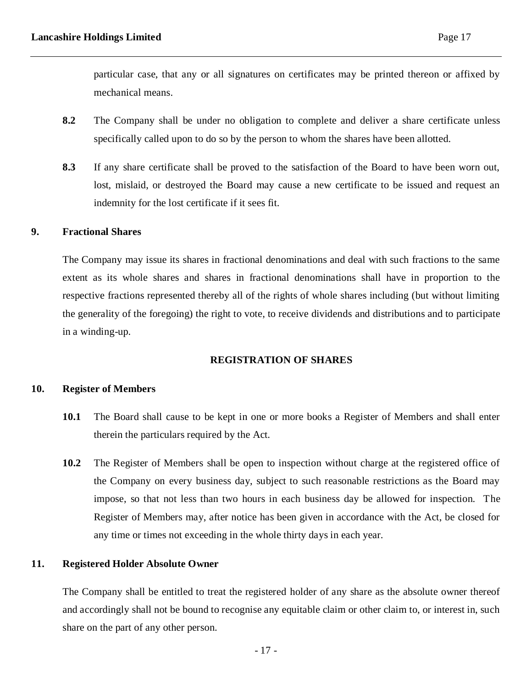particular case, that any or all signatures on certificates may be printed thereon or affixed by mechanical means.

- **8.2** The Company shall be under no obligation to complete and deliver a share certificate unless specifically called upon to do so by the person to whom the shares have been allotted.
- **8.3** If any share certificate shall be proved to the satisfaction of the Board to have been worn out, lost, mislaid, or destroyed the Board may cause a new certificate to be issued and request an indemnity for the lost certificate if it sees fit.

### **9. Fractional Shares**

The Company may issue its shares in fractional denominations and deal with such fractions to the same extent as its whole shares and shares in fractional denominations shall have in proportion to the respective fractions represented thereby all of the rights of whole shares including (but without limiting the generality of the foregoing) the right to vote, to receive dividends and distributions and to participate in a winding-up.

### **REGISTRATION OF SHARES**

# **10. Register of Members**

- **10.1** The Board shall cause to be kept in one or more books a Register of Members and shall enter therein the particulars required by the Act.
- **10.2** The Register of Members shall be open to inspection without charge at the registered office of the Company on every business day, subject to such reasonable restrictions as the Board may impose, so that not less than two hours in each business day be allowed for inspection. The Register of Members may, after notice has been given in accordance with the Act, be closed for any time or times not exceeding in the whole thirty days in each year.

### **11. Registered Holder Absolute Owner**

The Company shall be entitled to treat the registered holder of any share as the absolute owner thereof and accordingly shall not be bound to recognise any equitable claim or other claim to, or interest in, such share on the part of any other person.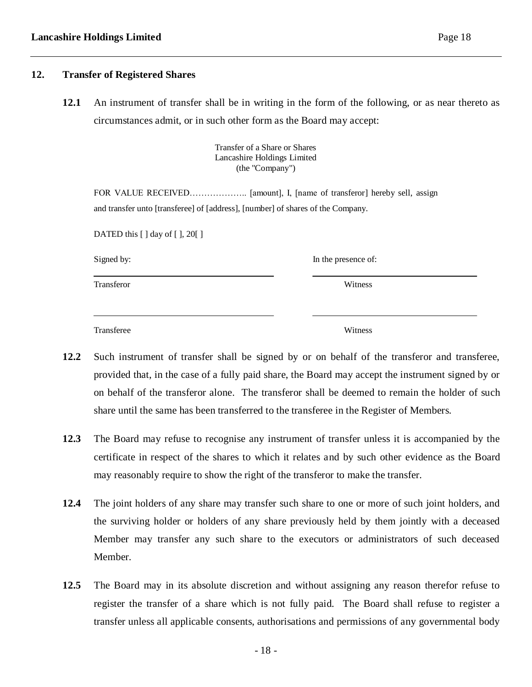### **12. Transfer of Registered Shares**

**12.1** An instrument of transfer shall be in writing in the form of the following, or as near thereto as circumstances admit, or in such other form as the Board may accept:

> Transfer of a Share or Shares Lancashire Holdings Limited (the "Company")

FOR VALUE RECEIVED……………….. [amount], I, [name of transferor] hereby sell, assign and transfer unto [transferee] of [address], [number] of shares of the Company.

DATED this [ ] day of [ ], 20[ ]

Transferor Witness

Signed by: In the presence of:

Transferee Witness

- **12.2** Such instrument of transfer shall be signed by or on behalf of the transferor and transferee, provided that, in the case of a fully paid share, the Board may accept the instrument signed by or on behalf of the transferor alone. The transferor shall be deemed to remain the holder of such share until the same has been transferred to the transferee in the Register of Members.
- **12.3** The Board may refuse to recognise any instrument of transfer unless it is accompanied by the certificate in respect of the shares to which it relates and by such other evidence as the Board may reasonably require to show the right of the transferor to make the transfer.
- **12.4** The joint holders of any share may transfer such share to one or more of such joint holders, and the surviving holder or holders of any share previously held by them jointly with a deceased Member may transfer any such share to the executors or administrators of such deceased Member.
- **12.5** The Board may in its absolute discretion and without assigning any reason therefor refuse to register the transfer of a share which is not fully paid. The Board shall refuse to register a transfer unless all applicable consents, authorisations and permissions of any governmental body

- 18 -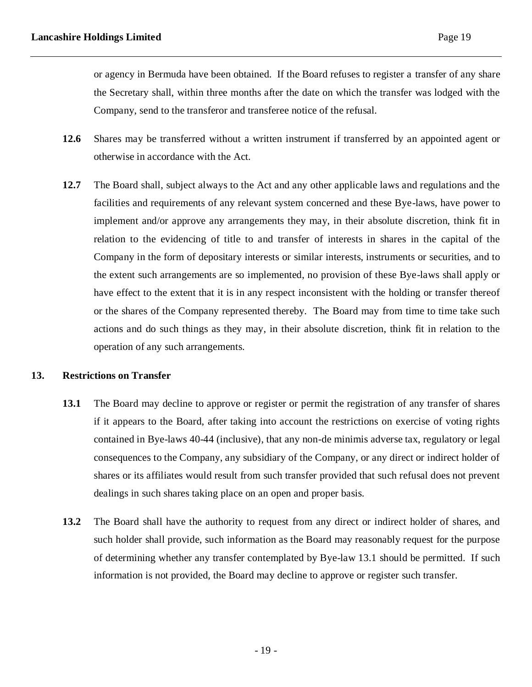or agency in Bermuda have been obtained. If the Board refuses to register a transfer of any share the Secretary shall, within three months after the date on which the transfer was lodged with the Company, send to the transferor and transferee notice of the refusal.

- **12.6** Shares may be transferred without a written instrument if transferred by an appointed agent or otherwise in accordance with the Act.
- **12.7** The Board shall, subject always to the Act and any other applicable laws and regulations and the facilities and requirements of any relevant system concerned and these Bye-laws, have power to implement and/or approve any arrangements they may, in their absolute discretion, think fit in relation to the evidencing of title to and transfer of interests in shares in the capital of the Company in the form of depositary interests or similar interests, instruments or securities, and to the extent such arrangements are so implemented, no provision of these Bye-laws shall apply or have effect to the extent that it is in any respect inconsistent with the holding or transfer thereof or the shares of the Company represented thereby. The Board may from time to time take such actions and do such things as they may, in their absolute discretion, think fit in relation to the operation of any such arrangements.

# **13. Restrictions on Transfer**

- 13.1 The Board may decline to approve or register or permit the registration of any transfer of shares if it appears to the Board, after taking into account the restrictions on exercise of voting rights contained in Bye-laws 40-44 (inclusive), that any non-de minimis adverse tax, regulatory or legal consequences to the Company, any subsidiary of the Company, or any direct or indirect holder of shares or its affiliates would result from such transfer provided that such refusal does not prevent dealings in such shares taking place on an open and proper basis.
- **13.2** The Board shall have the authority to request from any direct or indirect holder of shares, and such holder shall provide, such information as the Board may reasonably request for the purpose of determining whether any transfer contemplated by Bye-law 13.1 should be permitted. If such information is not provided, the Board may decline to approve or register such transfer.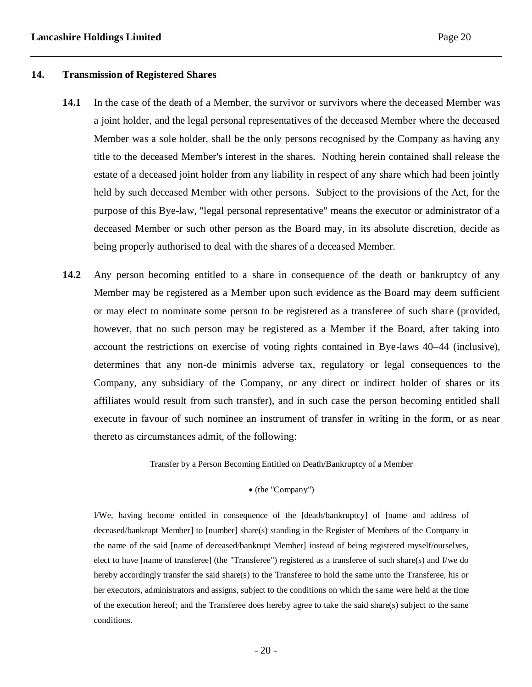#### **14. Transmission of Registered Shares**

- **14.1** In the case of the death of a Member, the survivor or survivors where the deceased Member was a joint holder, and the legal personal representatives of the deceased Member where the deceased Member was a sole holder, shall be the only persons recognised by the Company as having any title to the deceased Member's interest in the shares. Nothing herein contained shall release the estate of a deceased joint holder from any liability in respect of any share which had been jointly held by such deceased Member with other persons. Subject to the provisions of the Act, for the purpose of this Bye-law, "legal personal representative" means the executor or administrator of a deceased Member or such other person as the Board may, in its absolute discretion, decide as being properly authorised to deal with the shares of a deceased Member.
- **14.2** Any person becoming entitled to a share in consequence of the death or bankruptcy of any Member may be registered as a Member upon such evidence as the Board may deem sufficient or may elect to nominate some person to be registered as a transferee of such share (provided, however, that no such person may be registered as a Member if the Board, after taking into account the restrictions on exercise of voting rights contained in Bye-laws 40–44 (inclusive), determines that any non-de minimis adverse tax, regulatory or legal consequences to the Company, any subsidiary of the Company, or any direct or indirect holder of shares or its affiliates would result from such transfer), and in such case the person becoming entitled shall execute in favour of such nominee an instrument of transfer in writing in the form, or as near thereto as circumstances admit, of the following:

Transfer by a Person Becoming Entitled on Death/Bankruptcy of a Member

#### (the "Company")

I/We, having become entitled in consequence of the [death/bankruptcy] of [name and address of deceased/bankrupt Member] to [number] share(s) standing in the Register of Members of the Company in the name of the said [name of deceased/bankrupt Member] instead of being registered myself/ourselves, elect to have [name of transferee] (the "Transferee") registered as a transferee of such share(s) and I/we do hereby accordingly transfer the said share(s) to the Transferee to hold the same unto the Transferee, his or her executors, administrators and assigns, subject to the conditions on which the same were held at the time of the execution hereof; and the Transferee does hereby agree to take the said share(s) subject to the same conditions.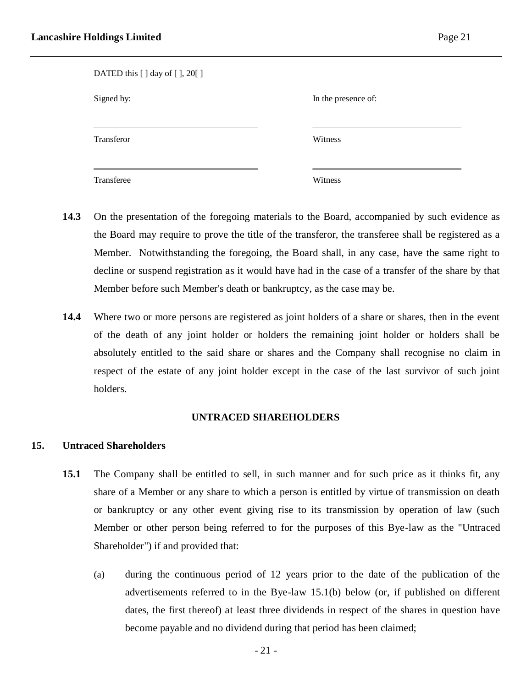| DATED this [ ] day of [ ], 20[ ] |                     |
|----------------------------------|---------------------|
| Signed by:                       | In the presence of: |
| Transferor                       | Witness             |
| Transferee                       | Witness             |

- 14.3 On the presentation of the foregoing materials to the Board, accompanied by such evidence as the Board may require to prove the title of the transferor, the transferee shall be registered as a Member. Notwithstanding the foregoing, the Board shall, in any case, have the same right to decline or suspend registration as it would have had in the case of a transfer of the share by that Member before such Member's death or bankruptcy, as the case may be.
- **14.4** Where two or more persons are registered as joint holders of a share or shares, then in the event of the death of any joint holder or holders the remaining joint holder or holders shall be absolutely entitled to the said share or shares and the Company shall recognise no claim in respect of the estate of any joint holder except in the case of the last survivor of such joint holders.

# **UNTRACED SHAREHOLDERS**

### **15. Untraced Shareholders**

- **15.1** The Company shall be entitled to sell, in such manner and for such price as it thinks fit, any share of a Member or any share to which a person is entitled by virtue of transmission on death or bankruptcy or any other event giving rise to its transmission by operation of law (such Member or other person being referred to for the purposes of this Bye-law as the "Untraced Shareholder") if and provided that:
	- (a) during the continuous period of 12 years prior to the date of the publication of the advertisements referred to in the Bye-law 15.1(b) below (or, if published on different dates, the first thereof) at least three dividends in respect of the shares in question have become payable and no dividend during that period has been claimed;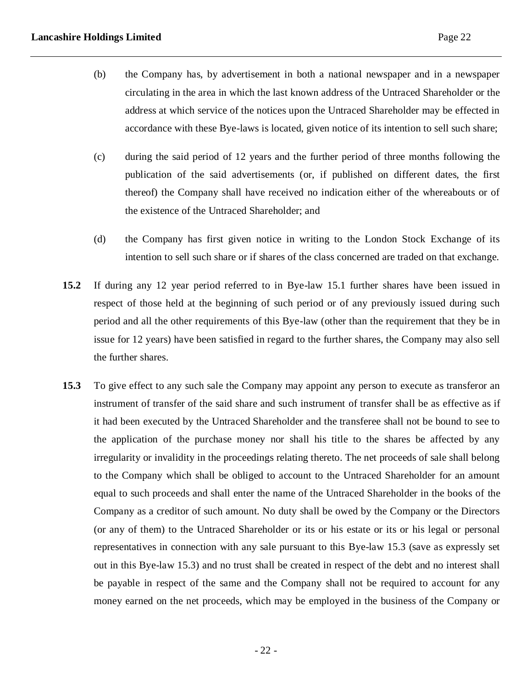- (b) the Company has, by advertisement in both a national newspaper and in a newspaper circulating in the area in which the last known address of the Untraced Shareholder or the address at which service of the notices upon the Untraced Shareholder may be effected in accordance with these Bye-laws is located, given notice of its intention to sell such share;
- (c) during the said period of 12 years and the further period of three months following the publication of the said advertisements (or, if published on different dates, the first thereof) the Company shall have received no indication either of the whereabouts or of the existence of the Untraced Shareholder; and
- (d) the Company has first given notice in writing to the London Stock Exchange of its intention to sell such share or if shares of the class concerned are traded on that exchange.
- **15.2** If during any 12 year period referred to in Bye-law 15.1 further shares have been issued in respect of those held at the beginning of such period or of any previously issued during such period and all the other requirements of this Bye-law (other than the requirement that they be in issue for 12 years) have been satisfied in regard to the further shares, the Company may also sell the further shares.
- **15.3** To give effect to any such sale the Company may appoint any person to execute as transferor an instrument of transfer of the said share and such instrument of transfer shall be as effective as if it had been executed by the Untraced Shareholder and the transferee shall not be bound to see to the application of the purchase money nor shall his title to the shares be affected by any irregularity or invalidity in the proceedings relating thereto. The net proceeds of sale shall belong to the Company which shall be obliged to account to the Untraced Shareholder for an amount equal to such proceeds and shall enter the name of the Untraced Shareholder in the books of the Company as a creditor of such amount. No duty shall be owed by the Company or the Directors (or any of them) to the Untraced Shareholder or its or his estate or its or his legal or personal representatives in connection with any sale pursuant to this Bye-law 15.3 (save as expressly set out in this Bye-law 15.3) and no trust shall be created in respect of the debt and no interest shall be payable in respect of the same and the Company shall not be required to account for any money earned on the net proceeds, which may be employed in the business of the Company or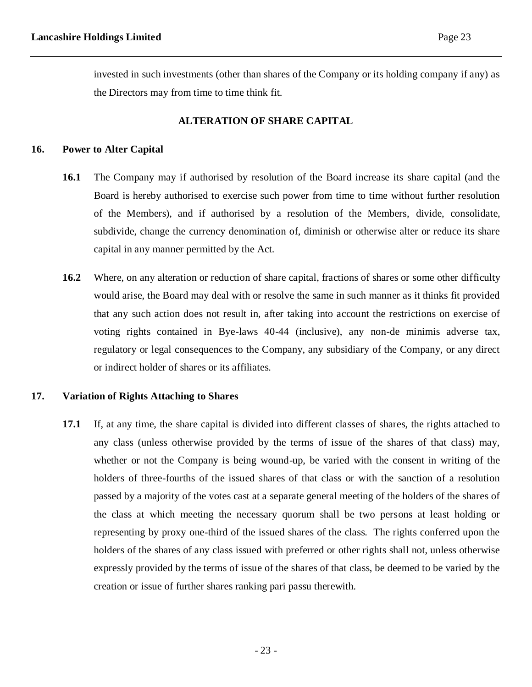invested in such investments (other than shares of the Company or its holding company if any) as the Directors may from time to time think fit.

### **ALTERATION OF SHARE CAPITAL**

### **16. Power to Alter Capital**

- **16.1** The Company may if authorised by resolution of the Board increase its share capital (and the Board is hereby authorised to exercise such power from time to time without further resolution of the Members), and if authorised by a resolution of the Members, divide, consolidate, subdivide, change the currency denomination of, diminish or otherwise alter or reduce its share capital in any manner permitted by the Act.
- **16.2** Where, on any alteration or reduction of share capital, fractions of shares or some other difficulty would arise, the Board may deal with or resolve the same in such manner as it thinks fit provided that any such action does not result in, after taking into account the restrictions on exercise of voting rights contained in Bye-laws 40-44 (inclusive), any non-de minimis adverse tax, regulatory or legal consequences to the Company, any subsidiary of the Company, or any direct or indirect holder of shares or its affiliates.

# **17. Variation of Rights Attaching to Shares**

**17.1** If, at any time, the share capital is divided into different classes of shares, the rights attached to any class (unless otherwise provided by the terms of issue of the shares of that class) may, whether or not the Company is being wound-up, be varied with the consent in writing of the holders of three-fourths of the issued shares of that class or with the sanction of a resolution passed by a majority of the votes cast at a separate general meeting of the holders of the shares of the class at which meeting the necessary quorum shall be two persons at least holding or representing by proxy one-third of the issued shares of the class. The rights conferred upon the holders of the shares of any class issued with preferred or other rights shall not, unless otherwise expressly provided by the terms of issue of the shares of that class, be deemed to be varied by the creation or issue of further shares ranking pari passu therewith.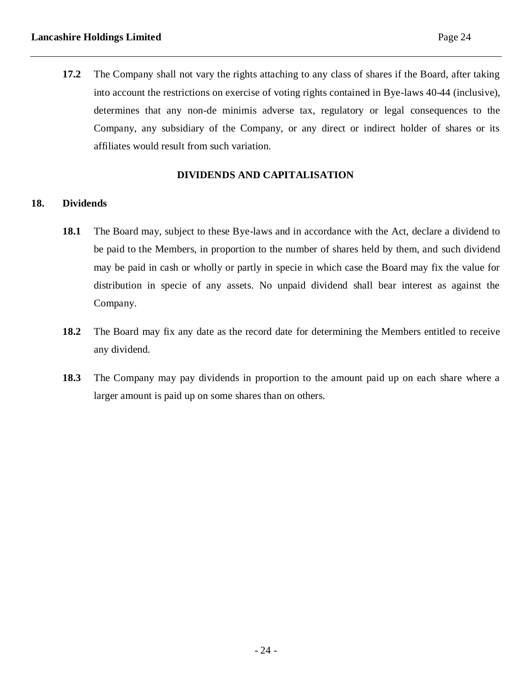**17.2** The Company shall not vary the rights attaching to any class of shares if the Board, after taking into account the restrictions on exercise of voting rights contained in Bye-laws 40-44 (inclusive), determines that any non-de minimis adverse tax, regulatory or legal consequences to the Company, any subsidiary of the Company, or any direct or indirect holder of shares or its affiliates would result from such variation.

# **DIVIDENDS AND CAPITALISATION**

# **18. Dividends**

- **18.1** The Board may, subject to these Bye-laws and in accordance with the Act, declare a dividend to be paid to the Members, in proportion to the number of shares held by them, and such dividend may be paid in cash or wholly or partly in specie in which case the Board may fix the value for distribution in specie of any assets. No unpaid dividend shall bear interest as against the Company.
- **18.2** The Board may fix any date as the record date for determining the Members entitled to receive any dividend.
- **18.3** The Company may pay dividends in proportion to the amount paid up on each share where a larger amount is paid up on some shares than on others.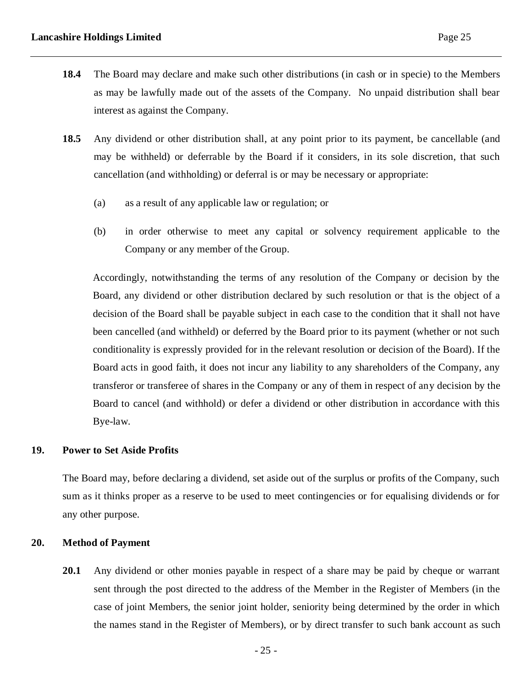- **18.4** The Board may declare and make such other distributions (in cash or in specie) to the Members as may be lawfully made out of the assets of the Company. No unpaid distribution shall bear interest as against the Company.
- **18.5** Any dividend or other distribution shall, at any point prior to its payment, be cancellable (and may be withheld) or deferrable by the Board if it considers, in its sole discretion, that such cancellation (and withholding) or deferral is or may be necessary or appropriate:
	- (a) as a result of any applicable law or regulation; or
	- (b) in order otherwise to meet any capital or solvency requirement applicable to the Company or any member of the Group.

Accordingly, notwithstanding the terms of any resolution of the Company or decision by the Board, any dividend or other distribution declared by such resolution or that is the object of a decision of the Board shall be payable subject in each case to the condition that it shall not have been cancelled (and withheld) or deferred by the Board prior to its payment (whether or not such conditionality is expressly provided for in the relevant resolution or decision of the Board). If the Board acts in good faith, it does not incur any liability to any shareholders of the Company, any transferor or transferee of shares in the Company or any of them in respect of any decision by the Board to cancel (and withhold) or defer a dividend or other distribution in accordance with this Bye-law.

### **19. Power to Set Aside Profits**

The Board may, before declaring a dividend, set aside out of the surplus or profits of the Company, such sum as it thinks proper as a reserve to be used to meet contingencies or for equalising dividends or for any other purpose.

### **20. Method of Payment**

**20.1** Any dividend or other monies payable in respect of a share may be paid by cheque or warrant sent through the post directed to the address of the Member in the Register of Members (in the case of joint Members, the senior joint holder, seniority being determined by the order in which the names stand in the Register of Members), or by direct transfer to such bank account as such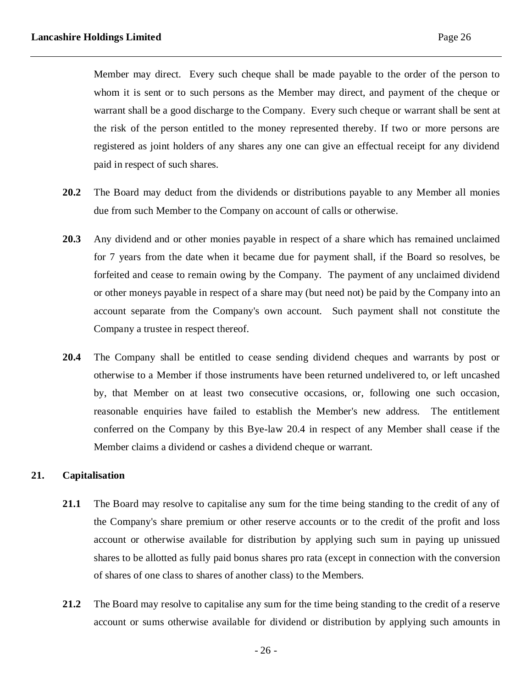Member may direct. Every such cheque shall be made payable to the order of the person to whom it is sent or to such persons as the Member may direct, and payment of the cheque or warrant shall be a good discharge to the Company. Every such cheque or warrant shall be sent at the risk of the person entitled to the money represented thereby. If two or more persons are registered as joint holders of any shares any one can give an effectual receipt for any dividend paid in respect of such shares.

- **20.2** The Board may deduct from the dividends or distributions payable to any Member all monies due from such Member to the Company on account of calls or otherwise.
- **20.3** Any dividend and or other monies payable in respect of a share which has remained unclaimed for 7 years from the date when it became due for payment shall, if the Board so resolves, be forfeited and cease to remain owing by the Company. The payment of any unclaimed dividend or other moneys payable in respect of a share may (but need not) be paid by the Company into an account separate from the Company's own account. Such payment shall not constitute the Company a trustee in respect thereof.
- **20.4** The Company shall be entitled to cease sending dividend cheques and warrants by post or otherwise to a Member if those instruments have been returned undelivered to, or left uncashed by, that Member on at least two consecutive occasions, or, following one such occasion, reasonable enquiries have failed to establish the Member's new address. The entitlement conferred on the Company by this Bye-law 20.4 in respect of any Member shall cease if the Member claims a dividend or cashes a dividend cheque or warrant.

# **21. Capitalisation**

- **21.1** The Board may resolve to capitalise any sum for the time being standing to the credit of any of the Company's share premium or other reserve accounts or to the credit of the profit and loss account or otherwise available for distribution by applying such sum in paying up unissued shares to be allotted as fully paid bonus shares pro rata (except in connection with the conversion of shares of one class to shares of another class) to the Members.
- **21.2** The Board may resolve to capitalise any sum for the time being standing to the credit of a reserve account or sums otherwise available for dividend or distribution by applying such amounts in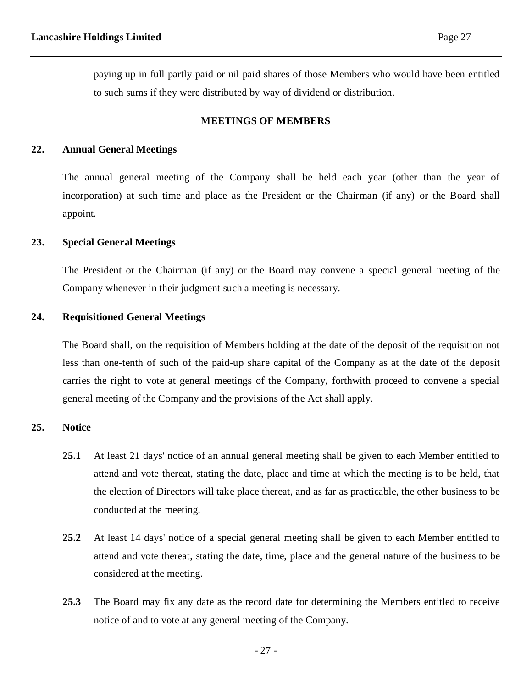paying up in full partly paid or nil paid shares of those Members who would have been entitled to such sums if they were distributed by way of dividend or distribution.

# **MEETINGS OF MEMBERS**

### **22. Annual General Meetings**

The annual general meeting of the Company shall be held each year (other than the year of incorporation) at such time and place as the President or the Chairman (if any) or the Board shall appoint.

### **23. Special General Meetings**

The President or the Chairman (if any) or the Board may convene a special general meeting of the Company whenever in their judgment such a meeting is necessary.

### **24. Requisitioned General Meetings**

The Board shall, on the requisition of Members holding at the date of the deposit of the requisition not less than one-tenth of such of the paid-up share capital of the Company as at the date of the deposit carries the right to vote at general meetings of the Company, forthwith proceed to convene a special general meeting of the Company and the provisions of the Act shall apply.

### **25. Notice**

- **25.1** At least 21 days' notice of an annual general meeting shall be given to each Member entitled to attend and vote thereat, stating the date, place and time at which the meeting is to be held, that the election of Directors will take place thereat, and as far as practicable, the other business to be conducted at the meeting.
- **25.2** At least 14 days' notice of a special general meeting shall be given to each Member entitled to attend and vote thereat, stating the date, time, place and the general nature of the business to be considered at the meeting.
- **25.3** The Board may fix any date as the record date for determining the Members entitled to receive notice of and to vote at any general meeting of the Company.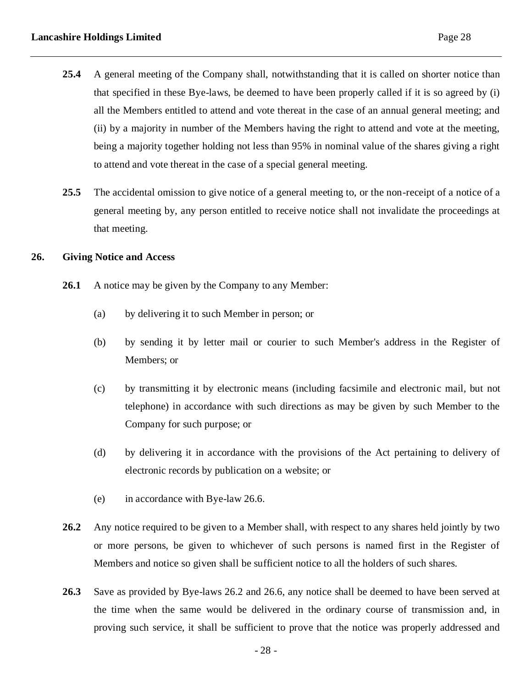- **25.4** A general meeting of the Company shall, notwithstanding that it is called on shorter notice than that specified in these Bye-laws, be deemed to have been properly called if it is so agreed by (i) all the Members entitled to attend and vote thereat in the case of an annual general meeting; and (ii) by a majority in number of the Members having the right to attend and vote at the meeting, being a majority together holding not less than 95% in nominal value of the shares giving a right to attend and vote thereat in the case of a special general meeting.
- **25.5** The accidental omission to give notice of a general meeting to, or the non-receipt of a notice of a general meeting by, any person entitled to receive notice shall not invalidate the proceedings at that meeting.

# **26. Giving Notice and Access**

- **26.1** A notice may be given by the Company to any Member:
	- (a) by delivering it to such Member in person; or
	- (b) by sending it by letter mail or courier to such Member's address in the Register of Members; or
	- (c) by transmitting it by electronic means (including facsimile and electronic mail, but not telephone) in accordance with such directions as may be given by such Member to the Company for such purpose; or
	- (d) by delivering it in accordance with the provisions of the Act pertaining to delivery of electronic records by publication on a website; or
	- (e) in accordance with Bye-law 26.6.
- **26.2** Any notice required to be given to a Member shall, with respect to any shares held jointly by two or more persons, be given to whichever of such persons is named first in the Register of Members and notice so given shall be sufficient notice to all the holders of such shares.
- **26.3** Save as provided by Bye-laws 26.2 and 26.6, any notice shall be deemed to have been served at the time when the same would be delivered in the ordinary course of transmission and, in proving such service, it shall be sufficient to prove that the notice was properly addressed and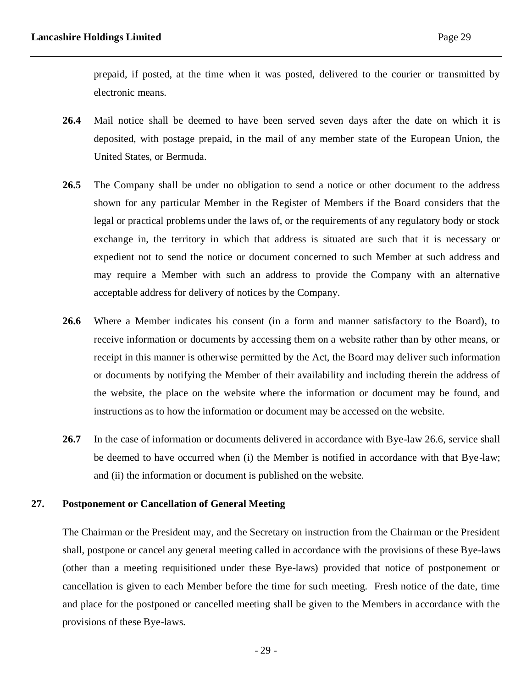prepaid, if posted, at the time when it was posted, delivered to the courier or transmitted by electronic means.

- **26.4** Mail notice shall be deemed to have been served seven days after the date on which it is deposited, with postage prepaid, in the mail of any member state of the European Union, the United States, or Bermuda.
- **26.5** The Company shall be under no obligation to send a notice or other document to the address shown for any particular Member in the Register of Members if the Board considers that the legal or practical problems under the laws of, or the requirements of any regulatory body or stock exchange in, the territory in which that address is situated are such that it is necessary or expedient not to send the notice or document concerned to such Member at such address and may require a Member with such an address to provide the Company with an alternative acceptable address for delivery of notices by the Company.
- **26.6** Where a Member indicates his consent (in a form and manner satisfactory to the Board), to receive information or documents by accessing them on a website rather than by other means, or receipt in this manner is otherwise permitted by the Act, the Board may deliver such information or documents by notifying the Member of their availability and including therein the address of the website, the place on the website where the information or document may be found, and instructions as to how the information or document may be accessed on the website.
- **26.7** In the case of information or documents delivered in accordance with Bye-law 26.6, service shall be deemed to have occurred when (i) the Member is notified in accordance with that Bye-law; and (ii) the information or document is published on the website.

### **27. Postponement or Cancellation of General Meeting**

The Chairman or the President may, and the Secretary on instruction from the Chairman or the President shall, postpone or cancel any general meeting called in accordance with the provisions of these Bye-laws (other than a meeting requisitioned under these Bye-laws) provided that notice of postponement or cancellation is given to each Member before the time for such meeting. Fresh notice of the date, time and place for the postponed or cancelled meeting shall be given to the Members in accordance with the provisions of these Bye-laws.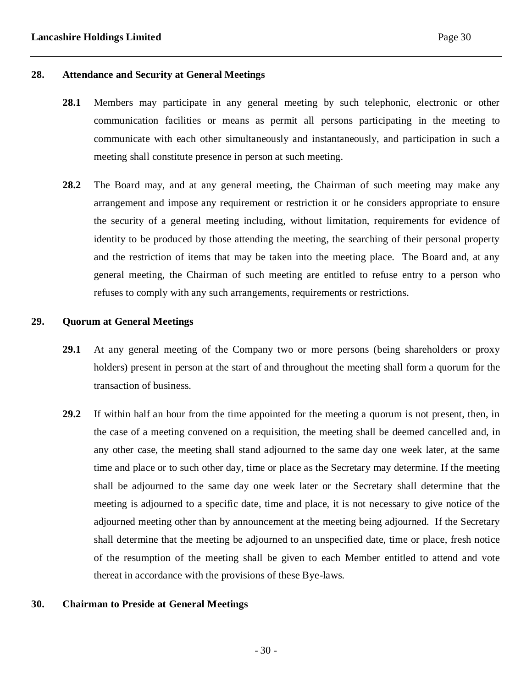### **28. Attendance and Security at General Meetings**

- **28.1** Members may participate in any general meeting by such telephonic, electronic or other communication facilities or means as permit all persons participating in the meeting to communicate with each other simultaneously and instantaneously, and participation in such a meeting shall constitute presence in person at such meeting.
- **28.2** The Board may, and at any general meeting, the Chairman of such meeting may make any arrangement and impose any requirement or restriction it or he considers appropriate to ensure the security of a general meeting including, without limitation, requirements for evidence of identity to be produced by those attending the meeting, the searching of their personal property and the restriction of items that may be taken into the meeting place. The Board and, at any general meeting, the Chairman of such meeting are entitled to refuse entry to a person who refuses to comply with any such arrangements, requirements or restrictions.

### **29. Quorum at General Meetings**

- **29.1** At any general meeting of the Company two or more persons (being shareholders or proxy holders) present in person at the start of and throughout the meeting shall form a quorum for the transaction of business.
- **29.2** If within half an hour from the time appointed for the meeting a quorum is not present, then, in the case of a meeting convened on a requisition, the meeting shall be deemed cancelled and, in any other case, the meeting shall stand adjourned to the same day one week later, at the same time and place or to such other day, time or place as the Secretary may determine. If the meeting shall be adjourned to the same day one week later or the Secretary shall determine that the meeting is adjourned to a specific date, time and place, it is not necessary to give notice of the adjourned meeting other than by announcement at the meeting being adjourned. If the Secretary shall determine that the meeting be adjourned to an unspecified date, time or place, fresh notice of the resumption of the meeting shall be given to each Member entitled to attend and vote thereat in accordance with the provisions of these Bye-laws.

# **30. Chairman to Preside at General Meetings**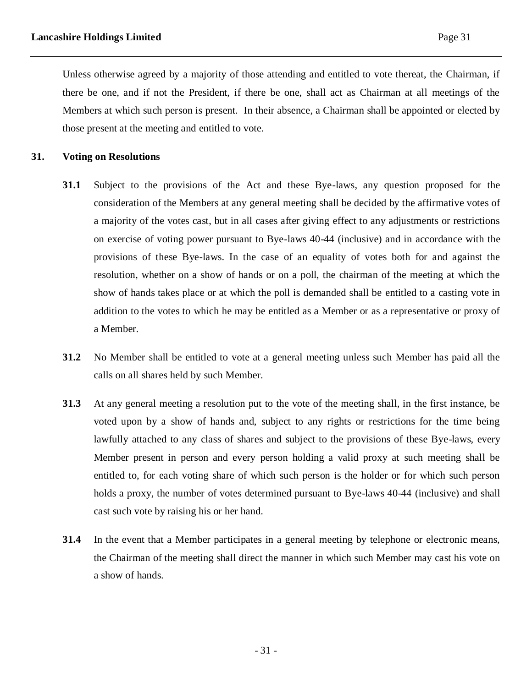Unless otherwise agreed by a majority of those attending and entitled to vote thereat, the Chairman, if there be one, and if not the President, if there be one, shall act as Chairman at all meetings of the Members at which such person is present. In their absence, a Chairman shall be appointed or elected by those present at the meeting and entitled to vote.

### **31. Voting on Resolutions**

- **31.1** Subject to the provisions of the Act and these Bye-laws, any question proposed for the consideration of the Members at any general meeting shall be decided by the affirmative votes of a majority of the votes cast, but in all cases after giving effect to any adjustments or restrictions on exercise of voting power pursuant to Bye-laws 40-44 (inclusive) and in accordance with the provisions of these Bye-laws. In the case of an equality of votes both for and against the resolution, whether on a show of hands or on a poll, the chairman of the meeting at which the show of hands takes place or at which the poll is demanded shall be entitled to a casting vote in addition to the votes to which he may be entitled as a Member or as a representative or proxy of a Member.
- **31.2** No Member shall be entitled to vote at a general meeting unless such Member has paid all the calls on all shares held by such Member.
- **31.3** At any general meeting a resolution put to the vote of the meeting shall, in the first instance, be voted upon by a show of hands and, subject to any rights or restrictions for the time being lawfully attached to any class of shares and subject to the provisions of these Bye-laws, every Member present in person and every person holding a valid proxy at such meeting shall be entitled to, for each voting share of which such person is the holder or for which such person holds a proxy, the number of votes determined pursuant to Bye-laws 40-44 (inclusive) and shall cast such vote by raising his or her hand.
- **31.4** In the event that a Member participates in a general meeting by telephone or electronic means, the Chairman of the meeting shall direct the manner in which such Member may cast his vote on a show of hands.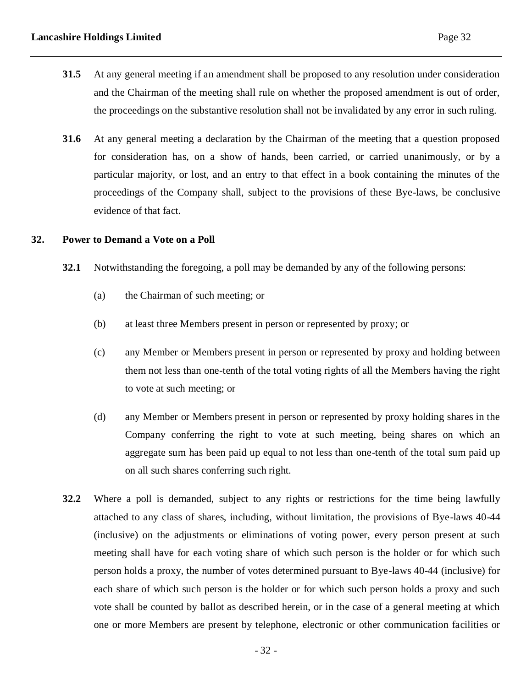- **31.5** At any general meeting if an amendment shall be proposed to any resolution under consideration and the Chairman of the meeting shall rule on whether the proposed amendment is out of order, the proceedings on the substantive resolution shall not be invalidated by any error in such ruling.
- **31.6** At any general meeting a declaration by the Chairman of the meeting that a question proposed for consideration has, on a show of hands, been carried, or carried unanimously, or by a particular majority, or lost, and an entry to that effect in a book containing the minutes of the proceedings of the Company shall, subject to the provisions of these Bye-laws, be conclusive evidence of that fact.

### **32. Power to Demand a Vote on a Poll**

- **32.1** Notwithstanding the foregoing, a poll may be demanded by any of the following persons:
	- (a) the Chairman of such meeting; or
	- (b) at least three Members present in person or represented by proxy; or
	- (c) any Member or Members present in person or represented by proxy and holding between them not less than one-tenth of the total voting rights of all the Members having the right to vote at such meeting; or
	- (d) any Member or Members present in person or represented by proxy holding shares in the Company conferring the right to vote at such meeting, being shares on which an aggregate sum has been paid up equal to not less than one-tenth of the total sum paid up on all such shares conferring such right.
- **32.2** Where a poll is demanded, subject to any rights or restrictions for the time being lawfully attached to any class of shares, including, without limitation, the provisions of Bye-laws 40-44 (inclusive) on the adjustments or eliminations of voting power, every person present at such meeting shall have for each voting share of which such person is the holder or for which such person holds a proxy, the number of votes determined pursuant to Bye-laws 40-44 (inclusive) for each share of which such person is the holder or for which such person holds a proxy and such vote shall be counted by ballot as described herein, or in the case of a general meeting at which one or more Members are present by telephone, electronic or other communication facilities or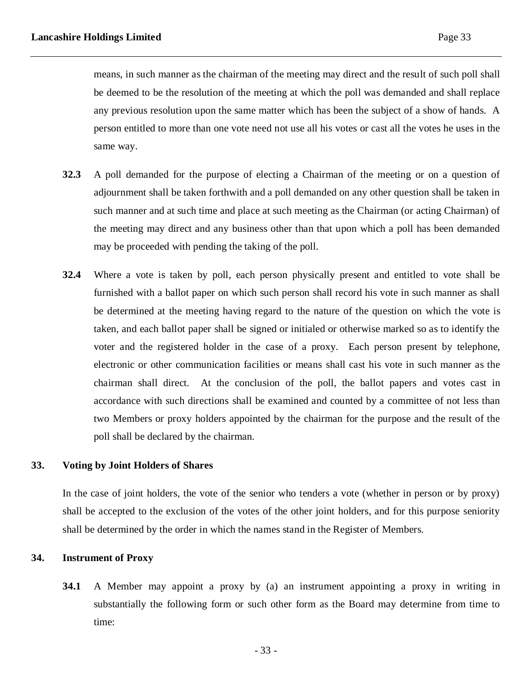means, in such manner as the chairman of the meeting may direct and the result of such poll shall be deemed to be the resolution of the meeting at which the poll was demanded and shall replace any previous resolution upon the same matter which has been the subject of a show of hands. A person entitled to more than one vote need not use all his votes or cast all the votes he uses in the same way.

- **32.3** A poll demanded for the purpose of electing a Chairman of the meeting or on a question of adjournment shall be taken forthwith and a poll demanded on any other question shall be taken in such manner and at such time and place at such meeting as the Chairman (or acting Chairman) of the meeting may direct and any business other than that upon which a poll has been demanded may be proceeded with pending the taking of the poll.
- **32.4** Where a vote is taken by poll, each person physically present and entitled to vote shall be furnished with a ballot paper on which such person shall record his vote in such manner as shall be determined at the meeting having regard to the nature of the question on which the vote is taken, and each ballot paper shall be signed or initialed or otherwise marked so as to identify the voter and the registered holder in the case of a proxy. Each person present by telephone, electronic or other communication facilities or means shall cast his vote in such manner as the chairman shall direct. At the conclusion of the poll, the ballot papers and votes cast in accordance with such directions shall be examined and counted by a committee of not less than two Members or proxy holders appointed by the chairman for the purpose and the result of the poll shall be declared by the chairman.

### **33. Voting by Joint Holders of Shares**

In the case of joint holders, the vote of the senior who tenders a vote (whether in person or by proxy) shall be accepted to the exclusion of the votes of the other joint holders, and for this purpose seniority shall be determined by the order in which the names stand in the Register of Members.

### **34. Instrument of Proxy**

**34.1** A Member may appoint a proxy by (a) an instrument appointing a proxy in writing in substantially the following form or such other form as the Board may determine from time to time: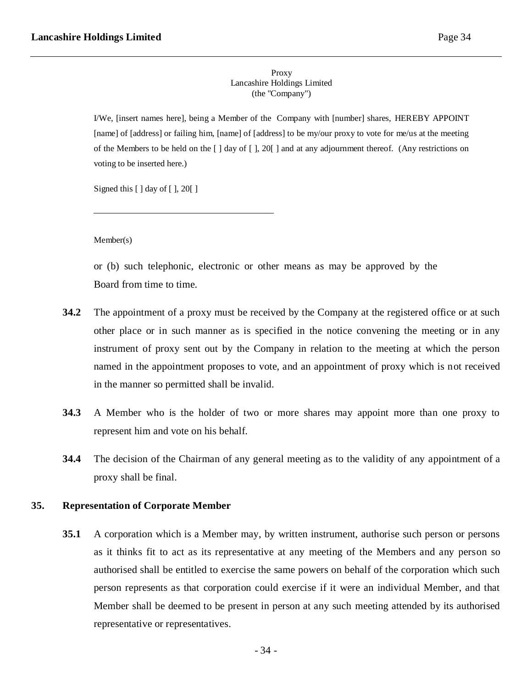#### Proxy Lancashire Holdings Limited (the "Company")

I/We, [insert names here], being a Member of the Company with [number] shares, HEREBY APPOINT [name] of [address] or failing him, [name] of [address] to be my/our proxy to vote for me/us at the meeting of the Members to be held on the  $\lceil \cdot \rceil$  day of  $\lceil \cdot \rceil$ , 20 $\lceil \cdot \rceil$  and at any adjournment thereof. (Any restrictions on voting to be inserted here.)

Signed this [ ] day of [ ], 20[ ]

Member(s)

or (b) such telephonic, electronic or other means as may be approved by the Board from time to time.

- **34.2** The appointment of a proxy must be received by the Company at the registered office or at such other place or in such manner as is specified in the notice convening the meeting or in any instrument of proxy sent out by the Company in relation to the meeting at which the person named in the appointment proposes to vote, and an appointment of proxy which is not received in the manner so permitted shall be invalid.
- **34.3** A Member who is the holder of two or more shares may appoint more than one proxy to represent him and vote on his behalf.
- **34.4** The decision of the Chairman of any general meeting as to the validity of any appointment of a proxy shall be final.

# **35. Representation of Corporate Member**

**35.1** A corporation which is a Member may, by written instrument, authorise such person or persons as it thinks fit to act as its representative at any meeting of the Members and any person so authorised shall be entitled to exercise the same powers on behalf of the corporation which such person represents as that corporation could exercise if it were an individual Member, and that Member shall be deemed to be present in person at any such meeting attended by its authorised representative or representatives.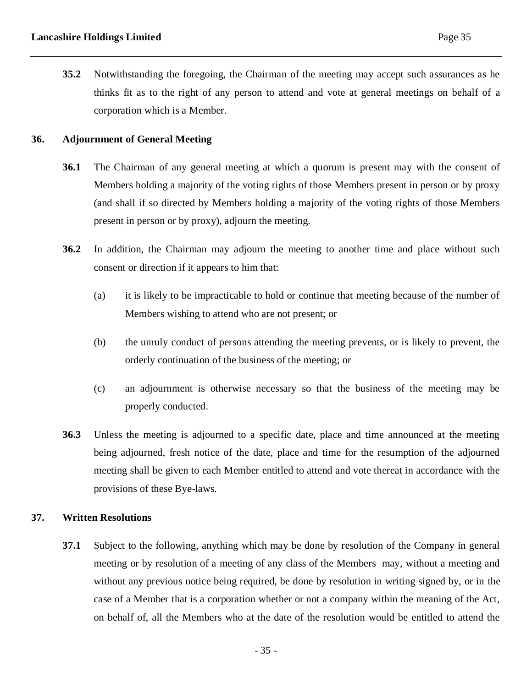**35.2** Notwithstanding the foregoing, the Chairman of the meeting may accept such assurances as he thinks fit as to the right of any person to attend and vote at general meetings on behalf of a corporation which is a Member.

# **36. Adjournment of General Meeting**

- **36.1** The Chairman of any general meeting at which a quorum is present may with the consent of Members holding a majority of the voting rights of those Members present in person or by proxy (and shall if so directed by Members holding a majority of the voting rights of those Members present in person or by proxy), adjourn the meeting.
- **36.2** In addition, the Chairman may adjourn the meeting to another time and place without such consent or direction if it appears to him that:
	- (a) it is likely to be impracticable to hold or continue that meeting because of the number of Members wishing to attend who are not present; or
	- (b) the unruly conduct of persons attending the meeting prevents, or is likely to prevent, the orderly continuation of the business of the meeting; or
	- (c) an adjournment is otherwise necessary so that the business of the meeting may be properly conducted.
- **36.3** Unless the meeting is adjourned to a specific date, place and time announced at the meeting being adjourned, fresh notice of the date, place and time for the resumption of the adjourned meeting shall be given to each Member entitled to attend and vote thereat in accordance with the provisions of these Bye-laws.

# **37. Written Resolutions**

**37.1** Subject to the following, anything which may be done by resolution of the Company in general meeting or by resolution of a meeting of any class of the Members may, without a meeting and without any previous notice being required, be done by resolution in writing signed by, or in the case of a Member that is a corporation whether or not a company within the meaning of the Act, on behalf of, all the Members who at the date of the resolution would be entitled to attend the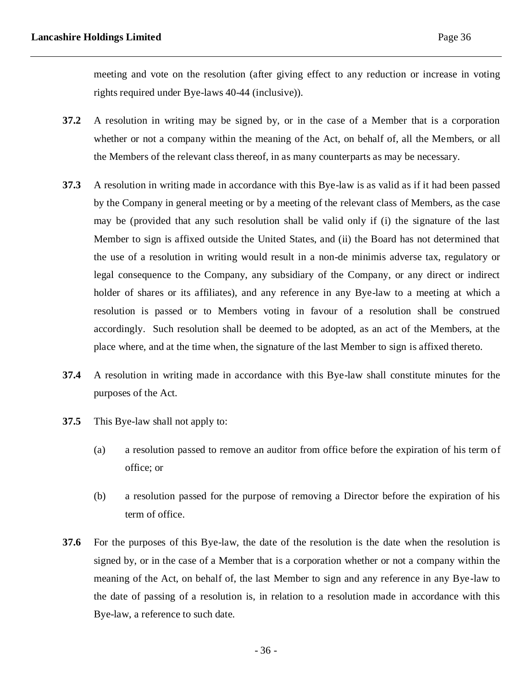meeting and vote on the resolution (after giving effect to any reduction or increase in voting rights required under Bye-laws 40-44 (inclusive)).

- **37.2** A resolution in writing may be signed by, or in the case of a Member that is a corporation whether or not a company within the meaning of the Act, on behalf of, all the Members, or all the Members of the relevant class thereof, in as many counterparts as may be necessary.
- **37.3** A resolution in writing made in accordance with this Bye-law is as valid as if it had been passed by the Company in general meeting or by a meeting of the relevant class of Members, as the case may be (provided that any such resolution shall be valid only if (i) the signature of the last Member to sign is affixed outside the United States, and (ii) the Board has not determined that the use of a resolution in writing would result in a non-de minimis adverse tax, regulatory or legal consequence to the Company, any subsidiary of the Company, or any direct or indirect holder of shares or its affiliates), and any reference in any Bye-law to a meeting at which a resolution is passed or to Members voting in favour of a resolution shall be construed accordingly. Such resolution shall be deemed to be adopted, as an act of the Members, at the place where, and at the time when, the signature of the last Member to sign is affixed thereto.
- **37.4** A resolution in writing made in accordance with this Bye-law shall constitute minutes for the purposes of the Act.
- **37.5** This Bye-law shall not apply to:
	- (a) a resolution passed to remove an auditor from office before the expiration of his term of office; or
	- (b) a resolution passed for the purpose of removing a Director before the expiration of his term of office.
- **37.6** For the purposes of this Bye-law, the date of the resolution is the date when the resolution is signed by, or in the case of a Member that is a corporation whether or not a company within the meaning of the Act, on behalf of, the last Member to sign and any reference in any Bye-law to the date of passing of a resolution is, in relation to a resolution made in accordance with this Bye-law, a reference to such date.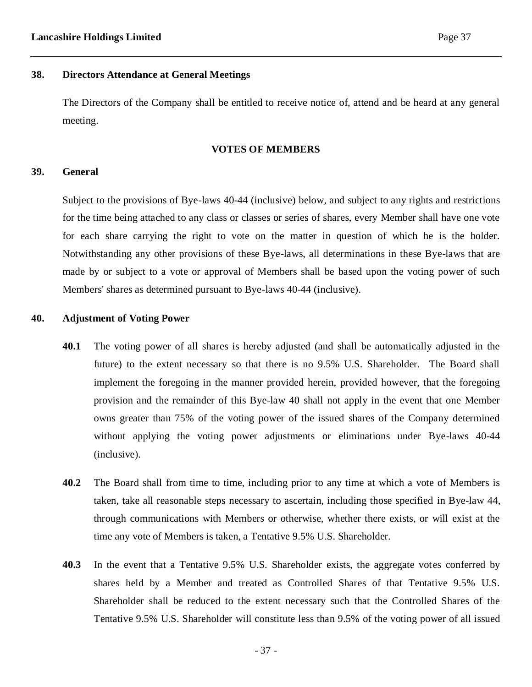The Directors of the Company shall be entitled to receive notice of, attend and be heard at any general meeting.

#### **VOTES OF MEMBERS**

# **39. General**

Subject to the provisions of Bye-laws 40-44 (inclusive) below, and subject to any rights and restrictions for the time being attached to any class or classes or series of shares, every Member shall have one vote for each share carrying the right to vote on the matter in question of which he is the holder. Notwithstanding any other provisions of these Bye-laws, all determinations in these Bye-laws that are made by or subject to a vote or approval of Members shall be based upon the voting power of such Members' shares as determined pursuant to Bye-laws 40-44 (inclusive).

### **40. Adjustment of Voting Power**

- **40.1** The voting power of all shares is hereby adjusted (and shall be automatically adjusted in the future) to the extent necessary so that there is no 9.5% U.S. Shareholder. The Board shall implement the foregoing in the manner provided herein, provided however, that the foregoing provision and the remainder of this Bye-law 40 shall not apply in the event that one Member owns greater than 75% of the voting power of the issued shares of the Company determined without applying the voting power adjustments or eliminations under Bye-laws 40-44 (inclusive).
- **40.2** The Board shall from time to time, including prior to any time at which a vote of Members is taken, take all reasonable steps necessary to ascertain, including those specified in Bye-law 44, through communications with Members or otherwise, whether there exists, or will exist at the time any vote of Members is taken, a Tentative 9.5% U.S. Shareholder.
- **40.3** In the event that a Tentative 9.5% U.S. Shareholder exists, the aggregate votes conferred by shares held by a Member and treated as Controlled Shares of that Tentative 9.5% U.S. Shareholder shall be reduced to the extent necessary such that the Controlled Shares of the Tentative 9.5% U.S. Shareholder will constitute less than 9.5% of the voting power of all issued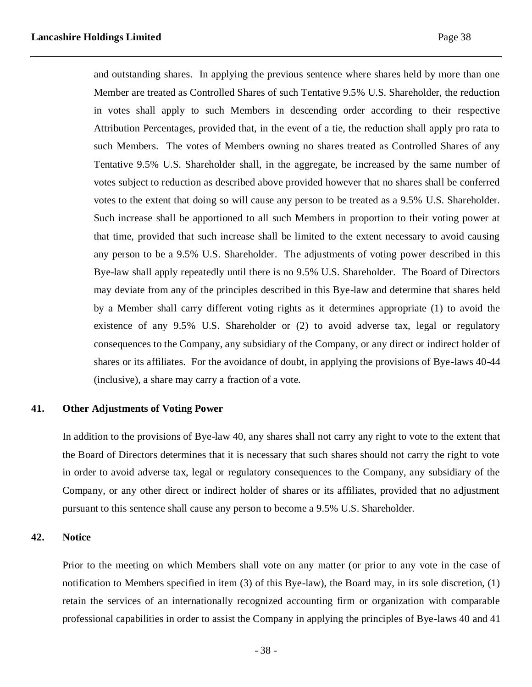and outstanding shares. In applying the previous sentence where shares held by more than one Member are treated as Controlled Shares of such Tentative 9.5% U.S. Shareholder, the reduction in votes shall apply to such Members in descending order according to their respective Attribution Percentages, provided that, in the event of a tie, the reduction shall apply pro rata to such Members. The votes of Members owning no shares treated as Controlled Shares of any Tentative 9.5% U.S. Shareholder shall, in the aggregate, be increased by the same number of votes subject to reduction as described above provided however that no shares shall be conferred votes to the extent that doing so will cause any person to be treated as a 9.5% U.S. Shareholder. Such increase shall be apportioned to all such Members in proportion to their voting power at that time, provided that such increase shall be limited to the extent necessary to avoid causing any person to be a 9.5% U.S. Shareholder. The adjustments of voting power described in this Bye-law shall apply repeatedly until there is no 9.5% U.S. Shareholder. The Board of Directors may deviate from any of the principles described in this Bye-law and determine that shares held by a Member shall carry different voting rights as it determines appropriate (1) to avoid the existence of any 9.5% U.S. Shareholder or (2) to avoid adverse tax, legal or regulatory consequences to the Company, any subsidiary of the Company, or any direct or indirect holder of shares or its affiliates. For the avoidance of doubt, in applying the provisions of Bye-laws 40-44 (inclusive), a share may carry a fraction of a vote.

#### **41. Other Adjustments of Voting Power**

In addition to the provisions of Bye-law 40, any shares shall not carry any right to vote to the extent that the Board of Directors determines that it is necessary that such shares should not carry the right to vote in order to avoid adverse tax, legal or regulatory consequences to the Company, any subsidiary of the Company, or any other direct or indirect holder of shares or its affiliates, provided that no adjustment pursuant to this sentence shall cause any person to become a 9.5% U.S. Shareholder.

#### **42. Notice**

Prior to the meeting on which Members shall vote on any matter (or prior to any vote in the case of notification to Members specified in item (3) of this Bye-law), the Board may, in its sole discretion, (1) retain the services of an internationally recognized accounting firm or organization with comparable professional capabilities in order to assist the Company in applying the principles of Bye-laws 40 and 41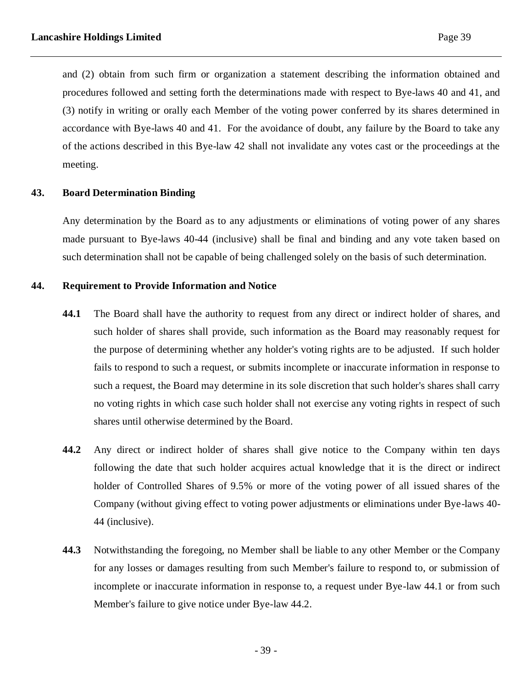and (2) obtain from such firm or organization a statement describing the information obtained and procedures followed and setting forth the determinations made with respect to Bye-laws 40 and 41, and (3) notify in writing or orally each Member of the voting power conferred by its shares determined in accordance with Bye-laws 40 and 41. For the avoidance of doubt, any failure by the Board to take any of the actions described in this Bye-law 42 shall not invalidate any votes cast or the proceedings at the meeting.

### **43. Board Determination Binding**

Any determination by the Board as to any adjustments or eliminations of voting power of any shares made pursuant to Bye-laws 40-44 (inclusive) shall be final and binding and any vote taken based on such determination shall not be capable of being challenged solely on the basis of such determination.

### **44. Requirement to Provide Information and Notice**

- **44.1** The Board shall have the authority to request from any direct or indirect holder of shares, and such holder of shares shall provide, such information as the Board may reasonably request for the purpose of determining whether any holder's voting rights are to be adjusted. If such holder fails to respond to such a request, or submits incomplete or inaccurate information in response to such a request, the Board may determine in its sole discretion that such holder's shares shall carry no voting rights in which case such holder shall not exercise any voting rights in respect of such shares until otherwise determined by the Board.
- **44.2** Any direct or indirect holder of shares shall give notice to the Company within ten days following the date that such holder acquires actual knowledge that it is the direct or indirect holder of Controlled Shares of 9.5% or more of the voting power of all issued shares of the Company (without giving effect to voting power adjustments or eliminations under Bye-laws 40- 44 (inclusive).
- **44.3** Notwithstanding the foregoing, no Member shall be liable to any other Member or the Company for any losses or damages resulting from such Member's failure to respond to, or submission of incomplete or inaccurate information in response to, a request under Bye-law 44.1 or from such Member's failure to give notice under Bye-law 44.2.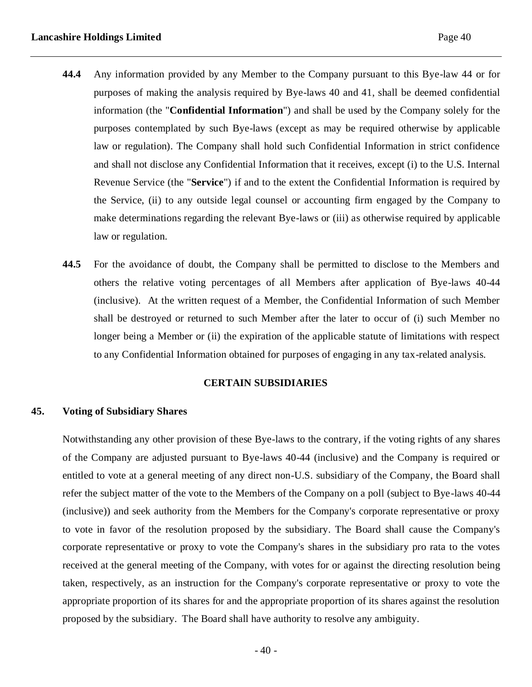- **44.4** Any information provided by any Member to the Company pursuant to this Bye-law 44 or for purposes of making the analysis required by Bye-laws 40 and 41, shall be deemed confidential information (the "**Confidential Information**") and shall be used by the Company solely for the purposes contemplated by such Bye-laws (except as may be required otherwise by applicable law or regulation). The Company shall hold such Confidential Information in strict confidence and shall not disclose any Confidential Information that it receives, except (i) to the U.S. Internal Revenue Service (the "**Service**") if and to the extent the Confidential Information is required by the Service, (ii) to any outside legal counsel or accounting firm engaged by the Company to make determinations regarding the relevant Bye-laws or (iii) as otherwise required by applicable law or regulation.
- **44.5** For the avoidance of doubt, the Company shall be permitted to disclose to the Members and others the relative voting percentages of all Members after application of Bye-laws 40-44 (inclusive). At the written request of a Member, the Confidential Information of such Member shall be destroyed or returned to such Member after the later to occur of (i) such Member no longer being a Member or (ii) the expiration of the applicable statute of limitations with respect to any Confidential Information obtained for purposes of engaging in any tax-related analysis.

#### **CERTAIN SUBSIDIARIES**

### **45. Voting of Subsidiary Shares**

Notwithstanding any other provision of these Bye-laws to the contrary, if the voting rights of any shares of the Company are adjusted pursuant to Bye-laws 40-44 (inclusive) and the Company is required or entitled to vote at a general meeting of any direct non-U.S. subsidiary of the Company, the Board shall refer the subject matter of the vote to the Members of the Company on a poll (subject to Bye-laws 40-44 (inclusive)) and seek authority from the Members for the Company's corporate representative or proxy to vote in favor of the resolution proposed by the subsidiary. The Board shall cause the Company's corporate representative or proxy to vote the Company's shares in the subsidiary pro rata to the votes received at the general meeting of the Company, with votes for or against the directing resolution being taken, respectively, as an instruction for the Company's corporate representative or proxy to vote the appropriate proportion of its shares for and the appropriate proportion of its shares against the resolution proposed by the subsidiary. The Board shall have authority to resolve any ambiguity.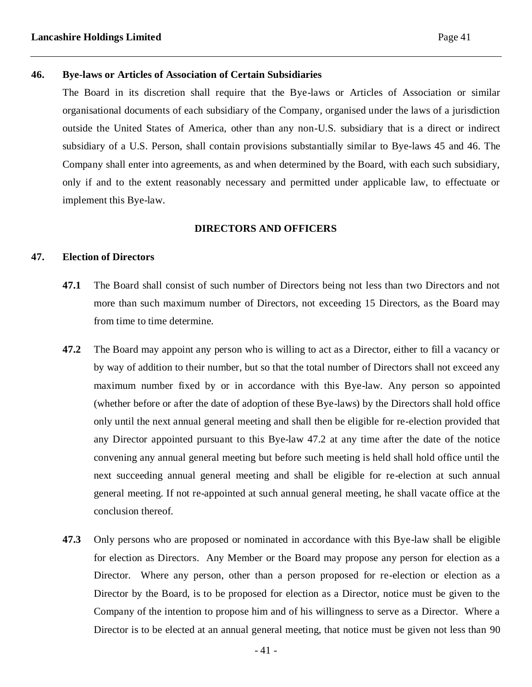#### **46. Bye-laws or Articles of Association of Certain Subsidiaries**

The Board in its discretion shall require that the Bye-laws or Articles of Association or similar organisational documents of each subsidiary of the Company, organised under the laws of a jurisdiction outside the United States of America, other than any non-U.S. subsidiary that is a direct or indirect subsidiary of a U.S. Person, shall contain provisions substantially similar to Bye-laws 45 and 46. The Company shall enter into agreements, as and when determined by the Board, with each such subsidiary, only if and to the extent reasonably necessary and permitted under applicable law, to effectuate or implement this Bye-law.

# **DIRECTORS AND OFFICERS**

# **47. Election of Directors**

- **47.1** The Board shall consist of such number of Directors being not less than two Directors and not more than such maximum number of Directors, not exceeding 15 Directors, as the Board may from time to time determine.
- **47.2** The Board may appoint any person who is willing to act as a Director, either to fill a vacancy or by way of addition to their number, but so that the total number of Directors shall not exceed any maximum number fixed by or in accordance with this Bye-law. Any person so appointed (whether before or after the date of adoption of these Bye-laws) by the Directors shall hold office only until the next annual general meeting and shall then be eligible for re-election provided that any Director appointed pursuant to this Bye-law 47.2 at any time after the date of the notice convening any annual general meeting but before such meeting is held shall hold office until the next succeeding annual general meeting and shall be eligible for re-election at such annual general meeting. If not re-appointed at such annual general meeting, he shall vacate office at the conclusion thereof.
- **47.3** Only persons who are proposed or nominated in accordance with this Bye-law shall be eligible for election as Directors. Any Member or the Board may propose any person for election as a Director. Where any person, other than a person proposed for re-election or election as a Director by the Board, is to be proposed for election as a Director, notice must be given to the Company of the intention to propose him and of his willingness to serve as a Director. Where a Director is to be elected at an annual general meeting, that notice must be given not less than 90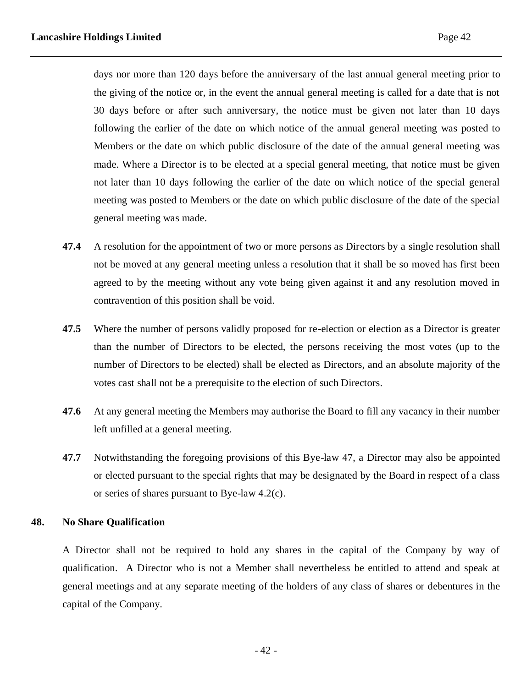days nor more than 120 days before the anniversary of the last annual general meeting prior to the giving of the notice or, in the event the annual general meeting is called for a date that is not 30 days before or after such anniversary, the notice must be given not later than 10 days following the earlier of the date on which notice of the annual general meeting was posted to Members or the date on which public disclosure of the date of the annual general meeting was made. Where a Director is to be elected at a special general meeting, that notice must be given not later than 10 days following the earlier of the date on which notice of the special general meeting was posted to Members or the date on which public disclosure of the date of the special general meeting was made.

- **47.4** A resolution for the appointment of two or more persons as Directors by a single resolution shall not be moved at any general meeting unless a resolution that it shall be so moved has first been agreed to by the meeting without any vote being given against it and any resolution moved in contravention of this position shall be void.
- **47.5** Where the number of persons validly proposed for re-election or election as a Director is greater than the number of Directors to be elected, the persons receiving the most votes (up to the number of Directors to be elected) shall be elected as Directors, and an absolute majority of the votes cast shall not be a prerequisite to the election of such Directors.
- **47.6** At any general meeting the Members may authorise the Board to fill any vacancy in their number left unfilled at a general meeting.
- **47.7** Notwithstanding the foregoing provisions of this Bye-law 47, a Director may also be appointed or elected pursuant to the special rights that may be designated by the Board in respect of a class or series of shares pursuant to Bye-law 4.2(c).

# **48. No Share Qualification**

A Director shall not be required to hold any shares in the capital of the Company by way of qualification. A Director who is not a Member shall nevertheless be entitled to attend and speak at general meetings and at any separate meeting of the holders of any class of shares or debentures in the capital of the Company.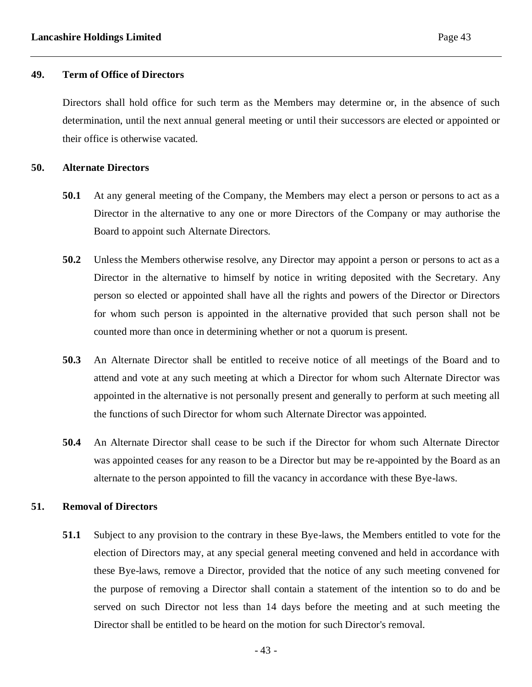### **49. Term of Office of Directors**

Directors shall hold office for such term as the Members may determine or, in the absence of such determination, until the next annual general meeting or until their successors are elected or appointed or their office is otherwise vacated.

## **50. Alternate Directors**

- **50.1** At any general meeting of the Company, the Members may elect a person or persons to act as a Director in the alternative to any one or more Directors of the Company or may authorise the Board to appoint such Alternate Directors.
- **50.2** Unless the Members otherwise resolve, any Director may appoint a person or persons to act as a Director in the alternative to himself by notice in writing deposited with the Secretary. Any person so elected or appointed shall have all the rights and powers of the Director or Directors for whom such person is appointed in the alternative provided that such person shall not be counted more than once in determining whether or not a quorum is present.
- **50.3** An Alternate Director shall be entitled to receive notice of all meetings of the Board and to attend and vote at any such meeting at which a Director for whom such Alternate Director was appointed in the alternative is not personally present and generally to perform at such meeting all the functions of such Director for whom such Alternate Director was appointed.
- **50.4** An Alternate Director shall cease to be such if the Director for whom such Alternate Director was appointed ceases for any reason to be a Director but may be re-appointed by the Board as an alternate to the person appointed to fill the vacancy in accordance with these Bye-laws.

# **51. Removal of Directors**

**51.1** Subject to any provision to the contrary in these Bye-laws, the Members entitled to vote for the election of Directors may, at any special general meeting convened and held in accordance with these Bye-laws, remove a Director, provided that the notice of any such meeting convened for the purpose of removing a Director shall contain a statement of the intention so to do and be served on such Director not less than 14 days before the meeting and at such meeting the Director shall be entitled to be heard on the motion for such Director's removal.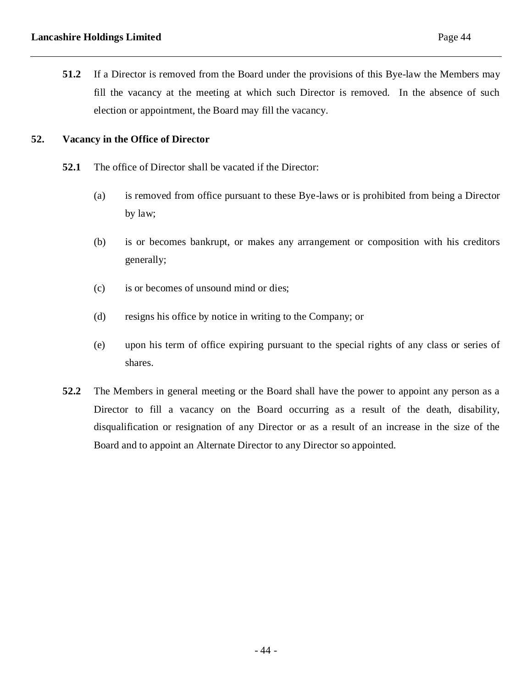**51.2** If a Director is removed from the Board under the provisions of this Bye-law the Members may fill the vacancy at the meeting at which such Director is removed. In the absence of such election or appointment, the Board may fill the vacancy.

# **52. Vacancy in the Office of Director**

- **52.1** The office of Director shall be vacated if the Director:
	- (a) is removed from office pursuant to these Bye-laws or is prohibited from being a Director by law;
	- (b) is or becomes bankrupt, or makes any arrangement or composition with his creditors generally;
	- (c) is or becomes of unsound mind or dies;
	- (d) resigns his office by notice in writing to the Company; or
	- (e) upon his term of office expiring pursuant to the special rights of any class or series of shares.
- **52.2** The Members in general meeting or the Board shall have the power to appoint any person as a Director to fill a vacancy on the Board occurring as a result of the death, disability, disqualification or resignation of any Director or as a result of an increase in the size of the Board and to appoint an Alternate Director to any Director so appointed.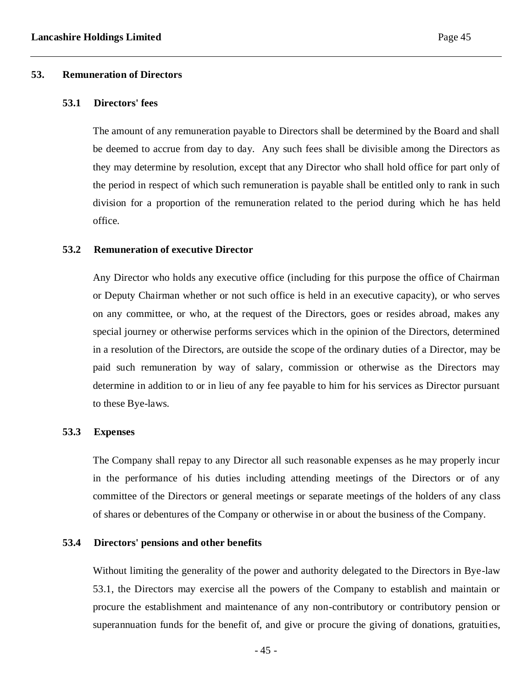### **53. Remuneration of Directors**

### **53.1 Directors' fees**

The amount of any remuneration payable to Directors shall be determined by the Board and shall be deemed to accrue from day to day. Any such fees shall be divisible among the Directors as they may determine by resolution, except that any Director who shall hold office for part only of the period in respect of which such remuneration is payable shall be entitled only to rank in such division for a proportion of the remuneration related to the period during which he has held office.

# **53.2 Remuneration of executive Director**

Any Director who holds any executive office (including for this purpose the office of Chairman or Deputy Chairman whether or not such office is held in an executive capacity), or who serves on any committee, or who, at the request of the Directors, goes or resides abroad, makes any special journey or otherwise performs services which in the opinion of the Directors, determined in a resolution of the Directors, are outside the scope of the ordinary duties of a Director, may be paid such remuneration by way of salary, commission or otherwise as the Directors may determine in addition to or in lieu of any fee payable to him for his services as Director pursuant to these Bye-laws.

# **53.3 Expenses**

The Company shall repay to any Director all such reasonable expenses as he may properly incur in the performance of his duties including attending meetings of the Directors or of any committee of the Directors or general meetings or separate meetings of the holders of any class of shares or debentures of the Company or otherwise in or about the business of the Company.

# **53.4 Directors' pensions and other benefits**

Without limiting the generality of the power and authority delegated to the Directors in Bye-law 53.1, the Directors may exercise all the powers of the Company to establish and maintain or procure the establishment and maintenance of any non-contributory or contributory pension or superannuation funds for the benefit of, and give or procure the giving of donations, gratuities,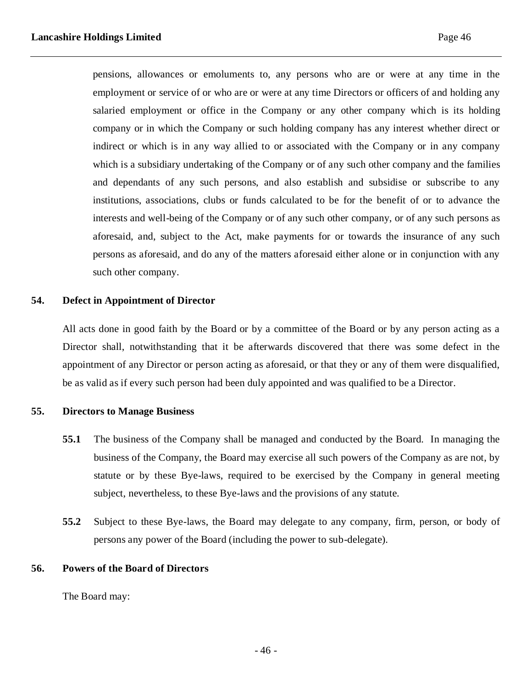pensions, allowances or emoluments to, any persons who are or were at any time in the employment or service of or who are or were at any time Directors or officers of and holding any salaried employment or office in the Company or any other company which is its holding company or in which the Company or such holding company has any interest whether direct or indirect or which is in any way allied to or associated with the Company or in any company which is a subsidiary undertaking of the Company or of any such other company and the families and dependants of any such persons, and also establish and subsidise or subscribe to any institutions, associations, clubs or funds calculated to be for the benefit of or to advance the interests and well-being of the Company or of any such other company, or of any such persons as aforesaid, and, subject to the Act, make payments for or towards the insurance of any such persons as aforesaid, and do any of the matters aforesaid either alone or in conjunction with any such other company.

# **54. Defect in Appointment of Director**

All acts done in good faith by the Board or by a committee of the Board or by any person acting as a Director shall, notwithstanding that it be afterwards discovered that there was some defect in the appointment of any Director or person acting as aforesaid, or that they or any of them were disqualified, be as valid as if every such person had been duly appointed and was qualified to be a Director.

### **55. Directors to Manage Business**

- **55.1** The business of the Company shall be managed and conducted by the Board. In managing the business of the Company, the Board may exercise all such powers of the Company as are not, by statute or by these Bye-laws, required to be exercised by the Company in general meeting subject, nevertheless, to these Bye-laws and the provisions of any statute.
- **55.2** Subject to these Bye-laws, the Board may delegate to any company, firm, person, or body of persons any power of the Board (including the power to sub-delegate).

## **56. Powers of the Board of Directors**

The Board may: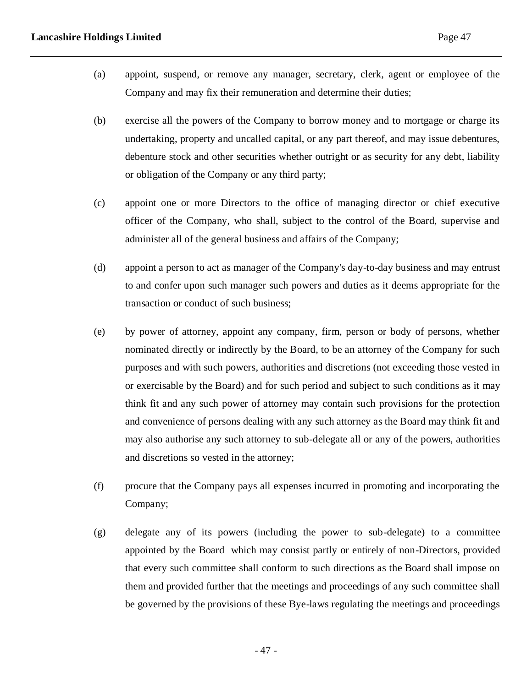- (a) appoint, suspend, or remove any manager, secretary, clerk, agent or employee of the Company and may fix their remuneration and determine their duties;
- (b) exercise all the powers of the Company to borrow money and to mortgage or charge its undertaking, property and uncalled capital, or any part thereof, and may issue debentures, debenture stock and other securities whether outright or as security for any debt, liability or obligation of the Company or any third party;
- (c) appoint one or more Directors to the office of managing director or chief executive officer of the Company, who shall, subject to the control of the Board, supervise and administer all of the general business and affairs of the Company;
- (d) appoint a person to act as manager of the Company's day-to-day business and may entrust to and confer upon such manager such powers and duties as it deems appropriate for the transaction or conduct of such business;
- (e) by power of attorney, appoint any company, firm, person or body of persons, whether nominated directly or indirectly by the Board, to be an attorney of the Company for such purposes and with such powers, authorities and discretions (not exceeding those vested in or exercisable by the Board) and for such period and subject to such conditions as it may think fit and any such power of attorney may contain such provisions for the protection and convenience of persons dealing with any such attorney as the Board may think fit and may also authorise any such attorney to sub-delegate all or any of the powers, authorities and discretions so vested in the attorney;
- (f) procure that the Company pays all expenses incurred in promoting and incorporating the Company;
- (g) delegate any of its powers (including the power to sub-delegate) to a committee appointed by the Board which may consist partly or entirely of non-Directors, provided that every such committee shall conform to such directions as the Board shall impose on them and provided further that the meetings and proceedings of any such committee shall be governed by the provisions of these Bye-laws regulating the meetings and proceedings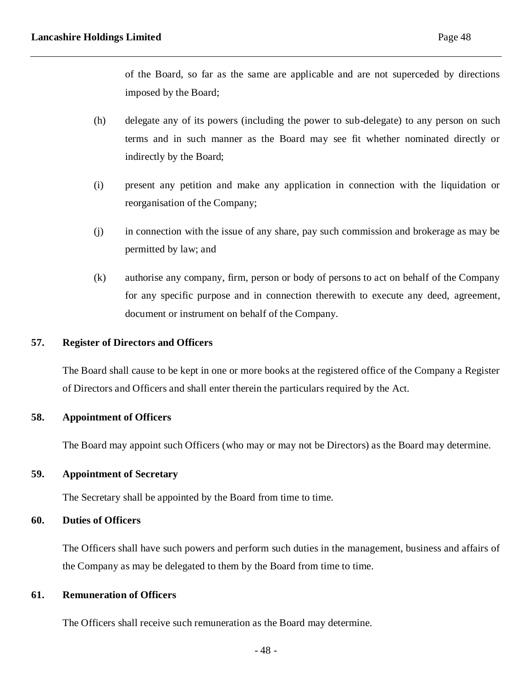of the Board, so far as the same are applicable and are not superceded by directions imposed by the Board;

- (h) delegate any of its powers (including the power to sub-delegate) to any person on such terms and in such manner as the Board may see fit whether nominated directly or indirectly by the Board;
- (i) present any petition and make any application in connection with the liquidation or reorganisation of the Company;
- (j) in connection with the issue of any share, pay such commission and brokerage as may be permitted by law; and
- (k) authorise any company, firm, person or body of persons to act on behalf of the Company for any specific purpose and in connection therewith to execute any deed, agreement, document or instrument on behalf of the Company.

## **57. Register of Directors and Officers**

The Board shall cause to be kept in one or more books at the registered office of the Company a Register of Directors and Officers and shall enter therein the particulars required by the Act.

# **58. Appointment of Officers**

The Board may appoint such Officers (who may or may not be Directors) as the Board may determine.

# **59. Appointment of Secretary**

The Secretary shall be appointed by the Board from time to time.

### **60. Duties of Officers**

The Officers shall have such powers and perform such duties in the management, business and affairs of the Company as may be delegated to them by the Board from time to time.

### **61. Remuneration of Officers**

The Officers shall receive such remuneration as the Board may determine.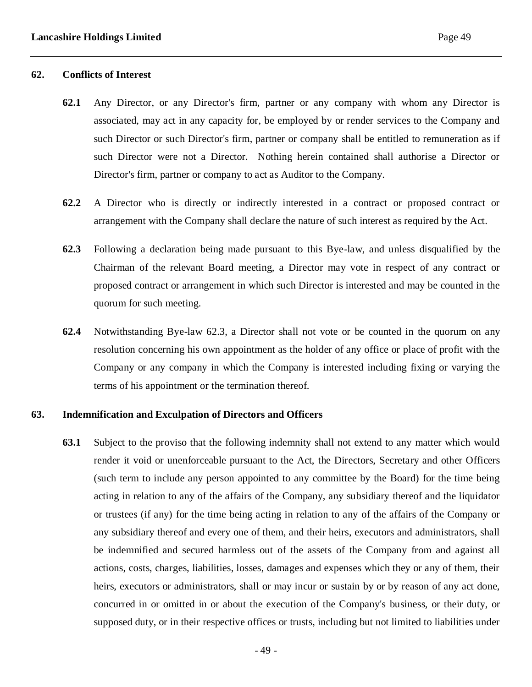### **62. Conflicts of Interest**

- **62.1** Any Director, or any Director's firm, partner or any company with whom any Director is associated, may act in any capacity for, be employed by or render services to the Company and such Director or such Director's firm, partner or company shall be entitled to remuneration as if such Director were not a Director. Nothing herein contained shall authorise a Director or Director's firm, partner or company to act as Auditor to the Company.
- **62.2** A Director who is directly or indirectly interested in a contract or proposed contract or arrangement with the Company shall declare the nature of such interest as required by the Act.
- **62.3** Following a declaration being made pursuant to this Bye-law, and unless disqualified by the Chairman of the relevant Board meeting, a Director may vote in respect of any contract or proposed contract or arrangement in which such Director is interested and may be counted in the quorum for such meeting.
- **62.4** Notwithstanding Bye-law 62.3, a Director shall not vote or be counted in the quorum on any resolution concerning his own appointment as the holder of any office or place of profit with the Company or any company in which the Company is interested including fixing or varying the terms of his appointment or the termination thereof.

## **63. Indemnification and Exculpation of Directors and Officers**

**63.1** Subject to the proviso that the following indemnity shall not extend to any matter which would render it void or unenforceable pursuant to the Act, the Directors, Secretary and other Officers (such term to include any person appointed to any committee by the Board) for the time being acting in relation to any of the affairs of the Company, any subsidiary thereof and the liquidator or trustees (if any) for the time being acting in relation to any of the affairs of the Company or any subsidiary thereof and every one of them, and their heirs, executors and administrators, shall be indemnified and secured harmless out of the assets of the Company from and against all actions, costs, charges, liabilities, losses, damages and expenses which they or any of them, their heirs, executors or administrators, shall or may incur or sustain by or by reason of any act done, concurred in or omitted in or about the execution of the Company's business, or their duty, or supposed duty, or in their respective offices or trusts, including but not limited to liabilities under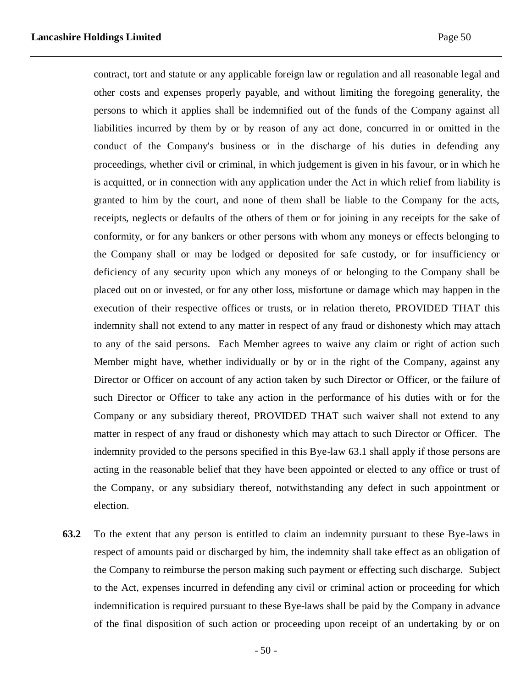contract, tort and statute or any applicable foreign law or regulation and all reasonable legal and other costs and expenses properly payable, and without limiting the foregoing generality, the persons to which it applies shall be indemnified out of the funds of the Company against all liabilities incurred by them by or by reason of any act done, concurred in or omitted in the conduct of the Company's business or in the discharge of his duties in defending any proceedings, whether civil or criminal, in which judgement is given in his favour, or in which he is acquitted, or in connection with any application under the Act in which relief from liability is granted to him by the court, and none of them shall be liable to the Company for the acts, receipts, neglects or defaults of the others of them or for joining in any receipts for the sake of conformity, or for any bankers or other persons with whom any moneys or effects belonging to the Company shall or may be lodged or deposited for safe custody, or for insufficiency or deficiency of any security upon which any moneys of or belonging to the Company shall be placed out on or invested, or for any other loss, misfortune or damage which may happen in the execution of their respective offices or trusts, or in relation thereto, PROVIDED THAT this indemnity shall not extend to any matter in respect of any fraud or dishonesty which may attach to any of the said persons. Each Member agrees to waive any claim or right of action such Member might have, whether individually or by or in the right of the Company, against any Director or Officer on account of any action taken by such Director or Officer, or the failure of such Director or Officer to take any action in the performance of his duties with or for the Company or any subsidiary thereof, PROVIDED THAT such waiver shall not extend to any matter in respect of any fraud or dishonesty which may attach to such Director or Officer. The indemnity provided to the persons specified in this Bye-law 63.1 shall apply if those persons are acting in the reasonable belief that they have been appointed or elected to any office or trust of the Company, or any subsidiary thereof, notwithstanding any defect in such appointment or election.

**63.2** To the extent that any person is entitled to claim an indemnity pursuant to these Bye-laws in respect of amounts paid or discharged by him, the indemnity shall take effect as an obligation of the Company to reimburse the person making such payment or effecting such discharge. Subject to the Act, expenses incurred in defending any civil or criminal action or proceeding for which indemnification is required pursuant to these Bye-laws shall be paid by the Company in advance of the final disposition of such action or proceeding upon receipt of an undertaking by or on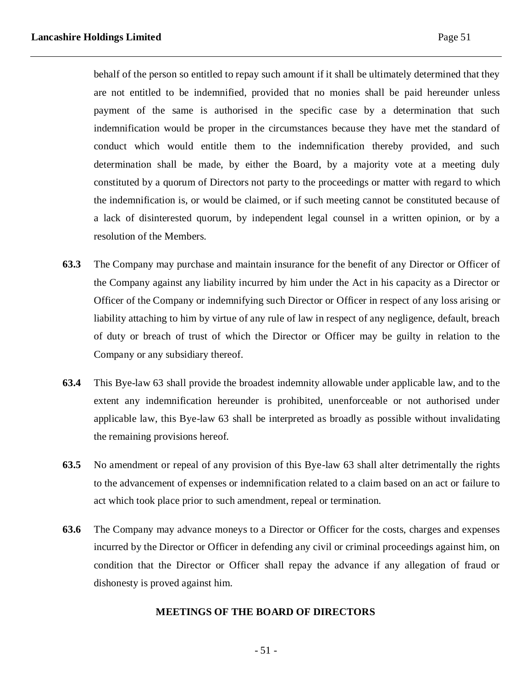behalf of the person so entitled to repay such amount if it shall be ultimately determined that they are not entitled to be indemnified, provided that no monies shall be paid hereunder unless payment of the same is authorised in the specific case by a determination that such indemnification would be proper in the circumstances because they have met the standard of conduct which would entitle them to the indemnification thereby provided, and such determination shall be made, by either the Board, by a majority vote at a meeting duly constituted by a quorum of Directors not party to the proceedings or matter with regard to which the indemnification is, or would be claimed, or if such meeting cannot be constituted because of a lack of disinterested quorum, by independent legal counsel in a written opinion, or by a resolution of the Members.

- **63.3** The Company may purchase and maintain insurance for the benefit of any Director or Officer of the Company against any liability incurred by him under the Act in his capacity as a Director or Officer of the Company or indemnifying such Director or Officer in respect of any loss arising or liability attaching to him by virtue of any rule of law in respect of any negligence, default, breach of duty or breach of trust of which the Director or Officer may be guilty in relation to the Company or any subsidiary thereof.
- **63.4** This Bye-law 63 shall provide the broadest indemnity allowable under applicable law, and to the extent any indemnification hereunder is prohibited, unenforceable or not authorised under applicable law, this Bye-law 63 shall be interpreted as broadly as possible without invalidating the remaining provisions hereof.
- **63.5** No amendment or repeal of any provision of this Bye-law 63 shall alter detrimentally the rights to the advancement of expenses or indemnification related to a claim based on an act or failure to act which took place prior to such amendment, repeal or termination.
- **63.6** The Company may advance moneys to a Director or Officer for the costs, charges and expenses incurred by the Director or Officer in defending any civil or criminal proceedings against him, on condition that the Director or Officer shall repay the advance if any allegation of fraud or dishonesty is proved against him.

### **MEETINGS OF THE BOARD OF DIRECTORS**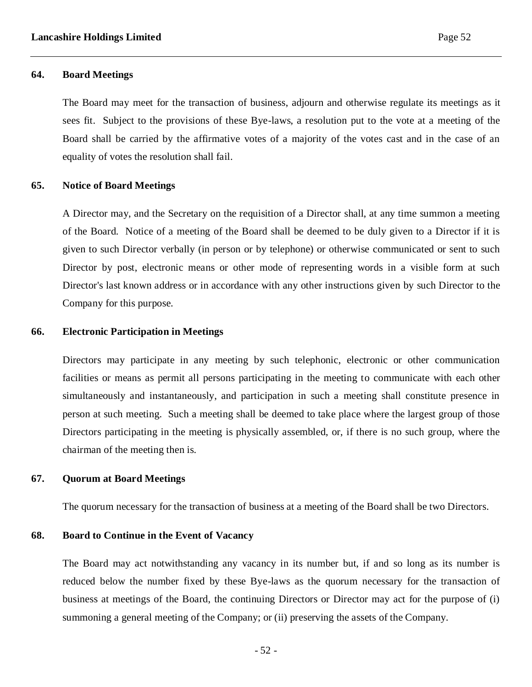### **64. Board Meetings**

The Board may meet for the transaction of business, adjourn and otherwise regulate its meetings as it sees fit. Subject to the provisions of these Bye-laws, a resolution put to the vote at a meeting of the Board shall be carried by the affirmative votes of a majority of the votes cast and in the case of an equality of votes the resolution shall fail.

#### **65. Notice of Board Meetings**

A Director may, and the Secretary on the requisition of a Director shall, at any time summon a meeting of the Board. Notice of a meeting of the Board shall be deemed to be duly given to a Director if it is given to such Director verbally (in person or by telephone) or otherwise communicated or sent to such Director by post, electronic means or other mode of representing words in a visible form at such Director's last known address or in accordance with any other instructions given by such Director to the Company for this purpose.

### **66. Electronic Participation in Meetings**

Directors may participate in any meeting by such telephonic, electronic or other communication facilities or means as permit all persons participating in the meeting to communicate with each other simultaneously and instantaneously, and participation in such a meeting shall constitute presence in person at such meeting. Such a meeting shall be deemed to take place where the largest group of those Directors participating in the meeting is physically assembled, or, if there is no such group, where the chairman of the meeting then is.

### **67. Quorum at Board Meetings**

The quorum necessary for the transaction of business at a meeting of the Board shall be two Directors.

## **68. Board to Continue in the Event of Vacancy**

The Board may act notwithstanding any vacancy in its number but, if and so long as its number is reduced below the number fixed by these Bye-laws as the quorum necessary for the transaction of business at meetings of the Board, the continuing Directors or Director may act for the purpose of (i) summoning a general meeting of the Company; or (ii) preserving the assets of the Company.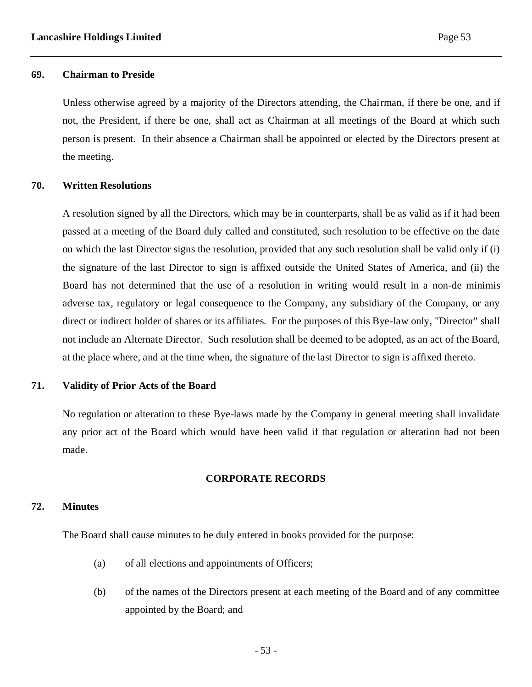### **69. Chairman to Preside**

Unless otherwise agreed by a majority of the Directors attending, the Chairman, if there be one, and if not, the President, if there be one, shall act as Chairman at all meetings of the Board at which such person is present. In their absence a Chairman shall be appointed or elected by the Directors present at the meeting.

#### **70. Written Resolutions**

A resolution signed by all the Directors, which may be in counterparts, shall be as valid as if it had been passed at a meeting of the Board duly called and constituted, such resolution to be effective on the date on which the last Director signs the resolution, provided that any such resolution shall be valid only if (i) the signature of the last Director to sign is affixed outside the United States of America, and (ii) the Board has not determined that the use of a resolution in writing would result in a non-de minimis adverse tax, regulatory or legal consequence to the Company, any subsidiary of the Company, or any direct or indirect holder of shares or its affiliates. For the purposes of this Bye-law only, "Director" shall not include an Alternate Director. Such resolution shall be deemed to be adopted, as an act of the Board, at the place where, and at the time when, the signature of the last Director to sign is affixed thereto.

### **71. Validity of Prior Acts of the Board**

No regulation or alteration to these Bye-laws made by the Company in general meeting shall invalidate any prior act of the Board which would have been valid if that regulation or alteration had not been made.

#### **CORPORATE RECORDS**

#### **72. Minutes**

The Board shall cause minutes to be duly entered in books provided for the purpose:

- (a) of all elections and appointments of Officers;
- (b) of the names of the Directors present at each meeting of the Board and of any committee appointed by the Board; and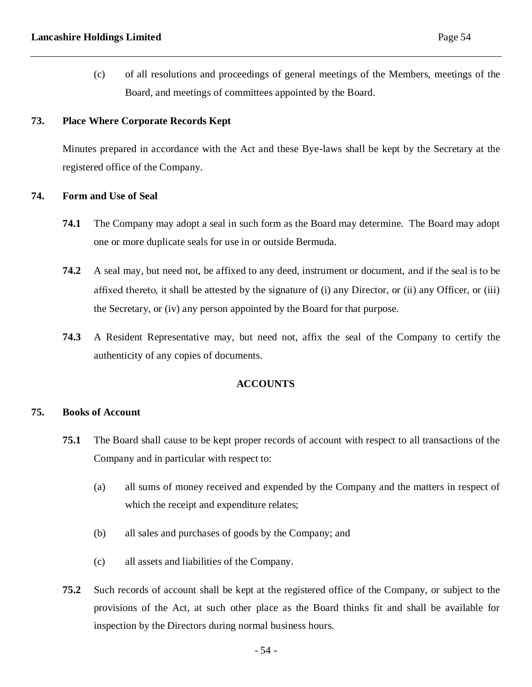(c) of all resolutions and proceedings of general meetings of the Members, meetings of the Board, and meetings of committees appointed by the Board.

# **73. Place Where Corporate Records Kept**

Minutes prepared in accordance with the Act and these Bye-laws shall be kept by the Secretary at the registered office of the Company.

## **74. Form and Use of Seal**

- **74.1** The Company may adopt a seal in such form as the Board may determine. The Board may adopt one or more duplicate seals for use in or outside Bermuda.
- **74.2** A seal may, but need not, be affixed to any deed, instrument or document, and if the seal is to be affixed thereto, it shall be attested by the signature of (i) any Director, or (ii) any Officer, or (iii) the Secretary, or (iv) any person appointed by the Board for that purpose.
- **74.3** A Resident Representative may, but need not, affix the seal of the Company to certify the authenticity of any copies of documents.

# **ACCOUNTS**

# **75. Books of Account**

- **75.1** The Board shall cause to be kept proper records of account with respect to all transactions of the Company and in particular with respect to:
	- (a) all sums of money received and expended by the Company and the matters in respect of which the receipt and expenditure relates;
	- (b) all sales and purchases of goods by the Company; and
	- (c) all assets and liabilities of the Company.
- **75.2** Such records of account shall be kept at the registered office of the Company, or subject to the provisions of the Act, at such other place as the Board thinks fit and shall be available for inspection by the Directors during normal business hours.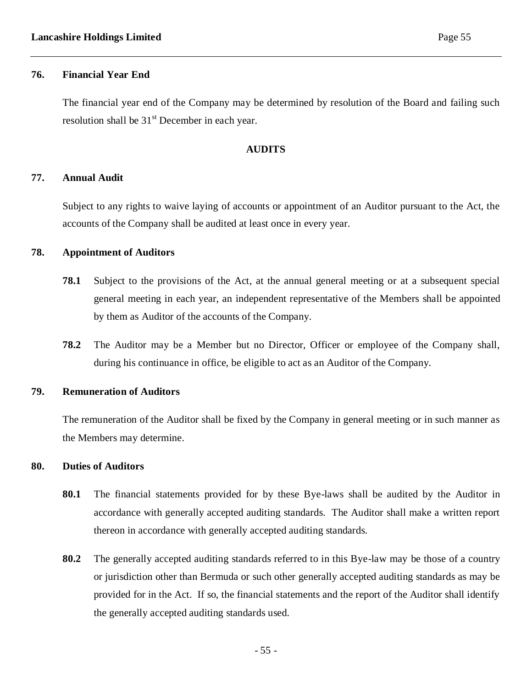### **76. Financial Year End**

The financial year end of the Company may be determined by resolution of the Board and failing such resolution shall be  $31<sup>st</sup>$  December in each year.

### **AUDITS**

# **77. Annual Audit**

Subject to any rights to waive laying of accounts or appointment of an Auditor pursuant to the Act, the accounts of the Company shall be audited at least once in every year.

## **78. Appointment of Auditors**

- **78.1** Subject to the provisions of the Act, at the annual general meeting or at a subsequent special general meeting in each year, an independent representative of the Members shall be appointed by them as Auditor of the accounts of the Company.
- **78.2** The Auditor may be a Member but no Director, Officer or employee of the Company shall, during his continuance in office, be eligible to act as an Auditor of the Company.

### **79. Remuneration of Auditors**

The remuneration of the Auditor shall be fixed by the Company in general meeting or in such manner as the Members may determine.

### **80. Duties of Auditors**

- **80.1** The financial statements provided for by these Bye-laws shall be audited by the Auditor in accordance with generally accepted auditing standards. The Auditor shall make a written report thereon in accordance with generally accepted auditing standards.
- **80.2** The generally accepted auditing standards referred to in this Bye-law may be those of a country or jurisdiction other than Bermuda or such other generally accepted auditing standards as may be provided for in the Act. If so, the financial statements and the report of the Auditor shall identify the generally accepted auditing standards used.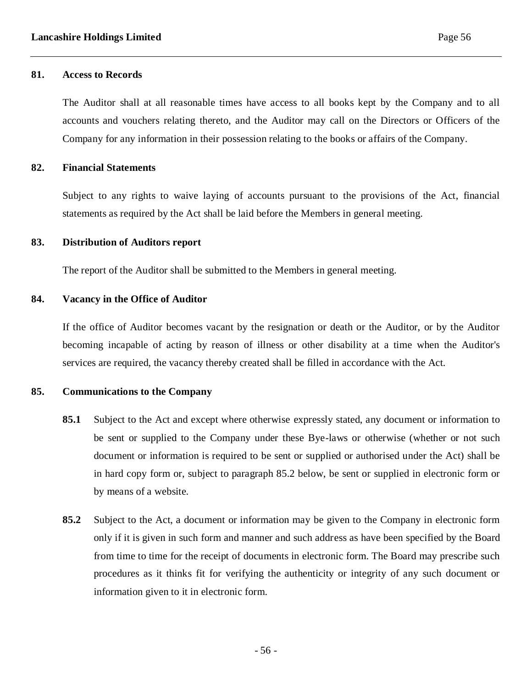### **81. Access to Records**

The Auditor shall at all reasonable times have access to all books kept by the Company and to all accounts and vouchers relating thereto, and the Auditor may call on the Directors or Officers of the Company for any information in their possession relating to the books or affairs of the Company.

#### **82. Financial Statements**

Subject to any rights to waive laying of accounts pursuant to the provisions of the Act, financial statements as required by the Act shall be laid before the Members in general meeting.

#### **83. Distribution of Auditors report**

The report of the Auditor shall be submitted to the Members in general meeting.

#### **84. Vacancy in the Office of Auditor**

If the office of Auditor becomes vacant by the resignation or death or the Auditor, or by the Auditor becoming incapable of acting by reason of illness or other disability at a time when the Auditor's services are required, the vacancy thereby created shall be filled in accordance with the Act.

# **85. Communications to the Company**

- **85.1** Subject to the Act and except where otherwise expressly stated, any document or information to be sent or supplied to the Company under these Bye-laws or otherwise (whether or not such document or information is required to be sent or supplied or authorised under the Act) shall be in hard copy form or, subject to paragraph 85.2 below, be sent or supplied in electronic form or by means of a website.
- **85.2** Subject to the Act, a document or information may be given to the Company in electronic form only if it is given in such form and manner and such address as have been specified by the Board from time to time for the receipt of documents in electronic form. The Board may prescribe such procedures as it thinks fit for verifying the authenticity or integrity of any such document or information given to it in electronic form.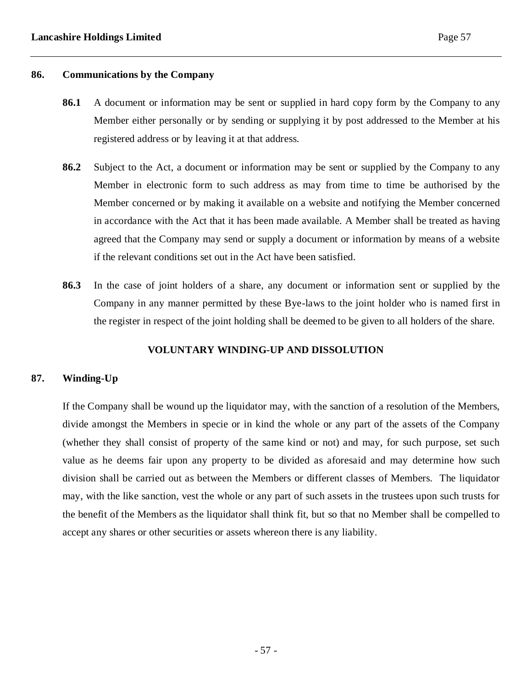### **86. Communications by the Company**

- **86.1** A document or information may be sent or supplied in hard copy form by the Company to any Member either personally or by sending or supplying it by post addressed to the Member at his registered address or by leaving it at that address.
- **86.2** Subject to the Act, a document or information may be sent or supplied by the Company to any Member in electronic form to such address as may from time to time be authorised by the Member concerned or by making it available on a website and notifying the Member concerned in accordance with the Act that it has been made available. A Member shall be treated as having agreed that the Company may send or supply a document or information by means of a website if the relevant conditions set out in the Act have been satisfied.
- **86.3** In the case of joint holders of a share, any document or information sent or supplied by the Company in any manner permitted by these Bye-laws to the joint holder who is named first in the register in respect of the joint holding shall be deemed to be given to all holders of the share.

## **VOLUNTARY WINDING-UP AND DISSOLUTION**

# **87. Winding-Up**

If the Company shall be wound up the liquidator may, with the sanction of a resolution of the Members, divide amongst the Members in specie or in kind the whole or any part of the assets of the Company (whether they shall consist of property of the same kind or not) and may, for such purpose, set such value as he deems fair upon any property to be divided as aforesaid and may determine how such division shall be carried out as between the Members or different classes of Members. The liquidator may, with the like sanction, vest the whole or any part of such assets in the trustees upon such trusts for the benefit of the Members as the liquidator shall think fit, but so that no Member shall be compelled to accept any shares or other securities or assets whereon there is any liability.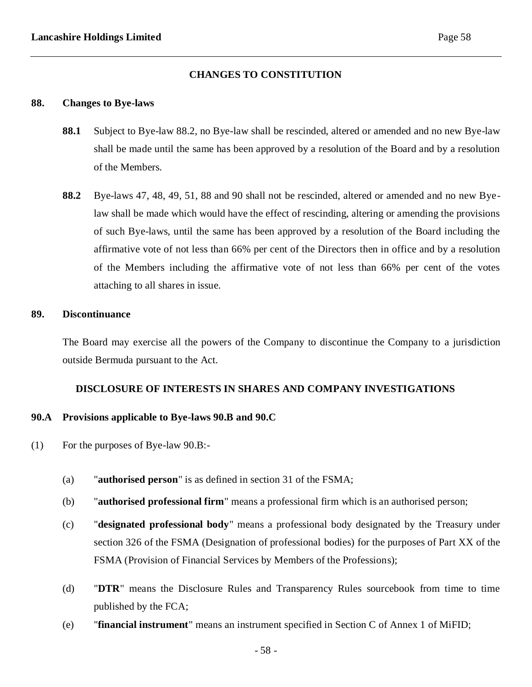## **CHANGES TO CONSTITUTION**

#### **88. Changes to Bye-laws**

- **88.1** Subject to Bye-law 88.2, no Bye-law shall be rescinded, altered or amended and no new Bye-law shall be made until the same has been approved by a resolution of the Board and by a resolution of the Members.
- **88.2** Bye-laws 47, 48, 49, 51, 88 and 90 shall not be rescinded, altered or amended and no new Byelaw shall be made which would have the effect of rescinding, altering or amending the provisions of such Bye-laws, until the same has been approved by a resolution of the Board including the affirmative vote of not less than 66% per cent of the Directors then in office and by a resolution of the Members including the affirmative vote of not less than 66% per cent of the votes attaching to all shares in issue.

#### **89. Discontinuance**

The Board may exercise all the powers of the Company to discontinue the Company to a jurisdiction outside Bermuda pursuant to the Act.

# **DISCLOSURE OF INTERESTS IN SHARES AND COMPANY INVESTIGATIONS**

# **90.A Provisions applicable to Bye-laws 90.B and 90.C**

- (1) For the purposes of Bye-law 90.B:-
	- (a) "**authorised person**" is as defined in section 31 of the FSMA;
	- (b) "**authorised professional firm**" means a professional firm which is an authorised person;
	- (c) "**designated professional body**" means a professional body designated by the Treasury under section 326 of the FSMA (Designation of professional bodies) for the purposes of Part XX of the FSMA (Provision of Financial Services by Members of the Professions);
	- (d) "**DTR**" means the Disclosure Rules and Transparency Rules sourcebook from time to time published by the FCA;
	- (e) "**financial instrument**" means an instrument specified in Section C of Annex 1 of MiFID;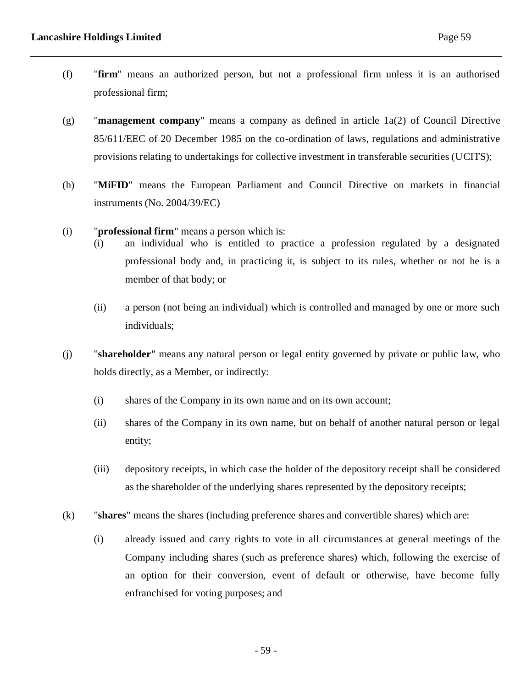- (f) "**firm**" means an authorized person, but not a professional firm unless it is an authorised professional firm;
- (g) "**management company**" means a company as defined in article 1a(2) of Council Directive 85/611/EEC of 20 December 1985 on the co-ordination of laws, regulations and administrative provisions relating to undertakings for collective investment in transferable securities (UCITS);
- (h) "**MiFID**" means the European Parliament and Council Directive on markets in financial instruments (No. 2004/39/EC)
- (i) "**professional firm**" means a person which is:
	- (i) an individual who is entitled to practice a profession regulated by a designated professional body and, in practicing it, is subject to its rules, whether or not he is a member of that body; or
	- (ii) a person (not being an individual) which is controlled and managed by one or more such individuals;
- (j) "**shareholder**" means any natural person or legal entity governed by private or public law, who holds directly, as a Member, or indirectly:
	- (i) shares of the Company in its own name and on its own account;
	- (ii) shares of the Company in its own name, but on behalf of another natural person or legal entity;
	- (iii) depository receipts, in which case the holder of the depository receipt shall be considered as the shareholder of the underlying shares represented by the depository receipts;
- (k) "**shares**" means the shares (including preference shares and convertible shares) which are:
	- (i) already issued and carry rights to vote in all circumstances at general meetings of the Company including shares (such as preference shares) which, following the exercise of an option for their conversion, event of default or otherwise, have become fully enfranchised for voting purposes; and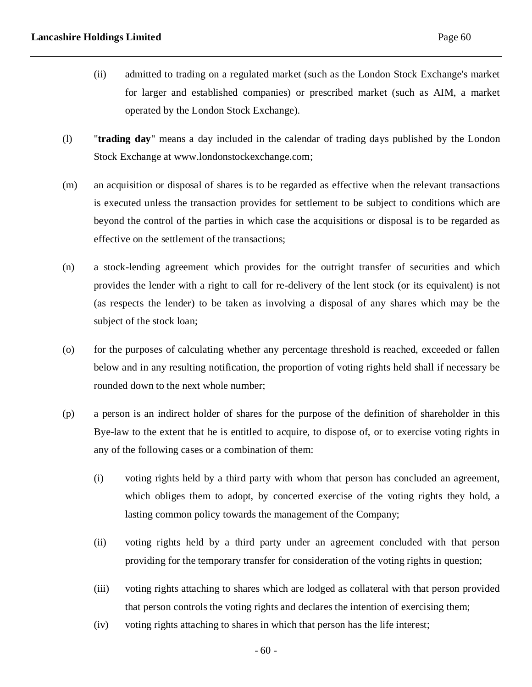- (ii) admitted to trading on a regulated market (such as the London Stock Exchange's market for larger and established companies) or prescribed market (such as AIM, a market operated by the London Stock Exchange).
- (l) "**trading day**" means a day included in the calendar of trading days published by the London Stock Exchange at www.londonstockexchange.com;
- (m) an acquisition or disposal of shares is to be regarded as effective when the relevant transactions is executed unless the transaction provides for settlement to be subject to conditions which are beyond the control of the parties in which case the acquisitions or disposal is to be regarded as effective on the settlement of the transactions;
- (n) a stock-lending agreement which provides for the outright transfer of securities and which provides the lender with a right to call for re-delivery of the lent stock (or its equivalent) is not (as respects the lender) to be taken as involving a disposal of any shares which may be the subject of the stock loan;
- (o) for the purposes of calculating whether any percentage threshold is reached, exceeded or fallen below and in any resulting notification, the proportion of voting rights held shall if necessary be rounded down to the next whole number;
- (p) a person is an indirect holder of shares for the purpose of the definition of shareholder in this Bye-law to the extent that he is entitled to acquire, to dispose of, or to exercise voting rights in any of the following cases or a combination of them:
	- (i) voting rights held by a third party with whom that person has concluded an agreement, which obliges them to adopt, by concerted exercise of the voting rights they hold, a lasting common policy towards the management of the Company;
	- (ii) voting rights held by a third party under an agreement concluded with that person providing for the temporary transfer for consideration of the voting rights in question;
	- (iii) voting rights attaching to shares which are lodged as collateral with that person provided that person controls the voting rights and declares the intention of exercising them;
	- (iv) voting rights attaching to shares in which that person has the life interest;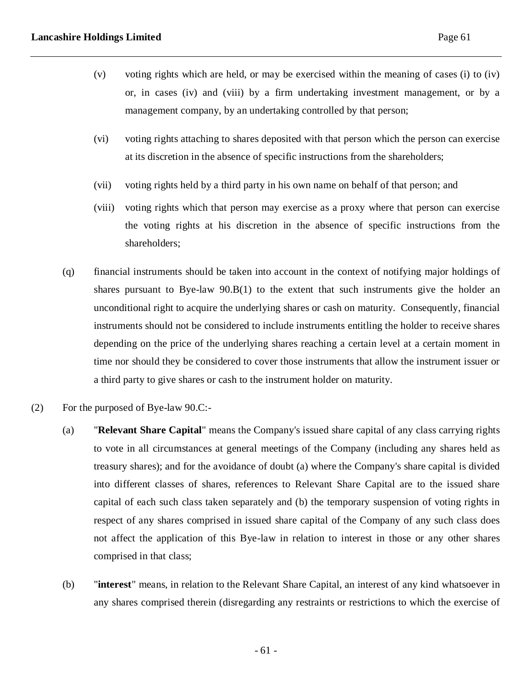- (v) voting rights which are held, or may be exercised within the meaning of cases (i) to (iv) or, in cases (iv) and (viii) by a firm undertaking investment management, or by a management company, by an undertaking controlled by that person;
- (vi) voting rights attaching to shares deposited with that person which the person can exercise at its discretion in the absence of specific instructions from the shareholders;
- (vii) voting rights held by a third party in his own name on behalf of that person; and
- (viii) voting rights which that person may exercise as a proxy where that person can exercise the voting rights at his discretion in the absence of specific instructions from the shareholders;
- (q) financial instruments should be taken into account in the context of notifying major holdings of shares pursuant to Bye-law 90.B(1) to the extent that such instruments give the holder an unconditional right to acquire the underlying shares or cash on maturity. Consequently, financial instruments should not be considered to include instruments entitling the holder to receive shares depending on the price of the underlying shares reaching a certain level at a certain moment in time nor should they be considered to cover those instruments that allow the instrument issuer or a third party to give shares or cash to the instrument holder on maturity.
- (2) For the purposed of Bye-law 90.C:-
	- (a) "**Relevant Share Capital**" means the Company's issued share capital of any class carrying rights to vote in all circumstances at general meetings of the Company (including any shares held as treasury shares); and for the avoidance of doubt (a) where the Company's share capital is divided into different classes of shares, references to Relevant Share Capital are to the issued share capital of each such class taken separately and (b) the temporary suspension of voting rights in respect of any shares comprised in issued share capital of the Company of any such class does not affect the application of this Bye-law in relation to interest in those or any other shares comprised in that class;
	- (b) "**interest**" means, in relation to the Relevant Share Capital, an interest of any kind whatsoever in any shares comprised therein (disregarding any restraints or restrictions to which the exercise of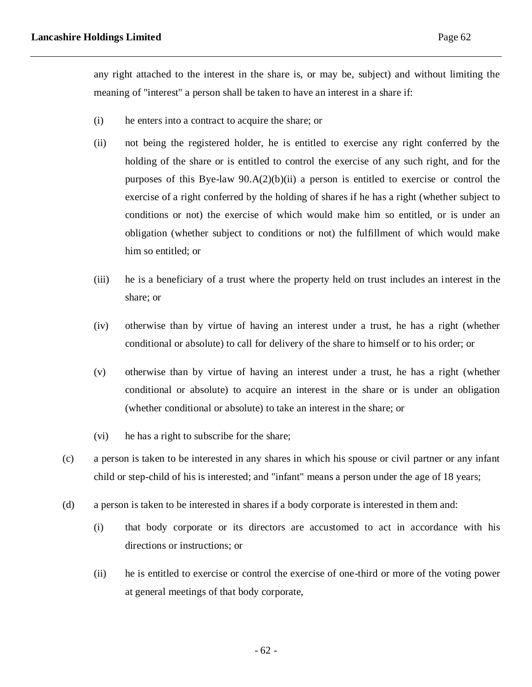any right attached to the interest in the share is, or may be, subject) and without limiting the meaning of "interest" a person shall be taken to have an interest in a share if:

- (i) he enters into a contract to acquire the share; or
- (ii) not being the registered holder, he is entitled to exercise any right conferred by the holding of the share or is entitled to control the exercise of any such right, and for the purposes of this Bye-law  $90.A(2)(b)(ii)$  a person is entitled to exercise or control the exercise of a right conferred by the holding of shares if he has a right (whether subject to conditions or not) the exercise of which would make him so entitled, or is under an obligation (whether subject to conditions or not) the fulfillment of which would make him so entitled; or
- (iii) he is a beneficiary of a trust where the property held on trust includes an interest in the share; or
- (iv) otherwise than by virtue of having an interest under a trust, he has a right (whether conditional or absolute) to call for delivery of the share to himself or to his order; or
- (v) otherwise than by virtue of having an interest under a trust, he has a right (whether conditional or absolute) to acquire an interest in the share or is under an obligation (whether conditional or absolute) to take an interest in the share; or
- (vi) he has a right to subscribe for the share;
- (c) a person is taken to be interested in any shares in which his spouse or civil partner or any infant child or step-child of his is interested; and "infant" means a person under the age of 18 years;
- (d) a person is taken to be interested in shares if a body corporate is interested in them and:
	- (i) that body corporate or its directors are accustomed to act in accordance with his directions or instructions; or
	- (ii) he is entitled to exercise or control the exercise of one-third or more of the voting power at general meetings of that body corporate,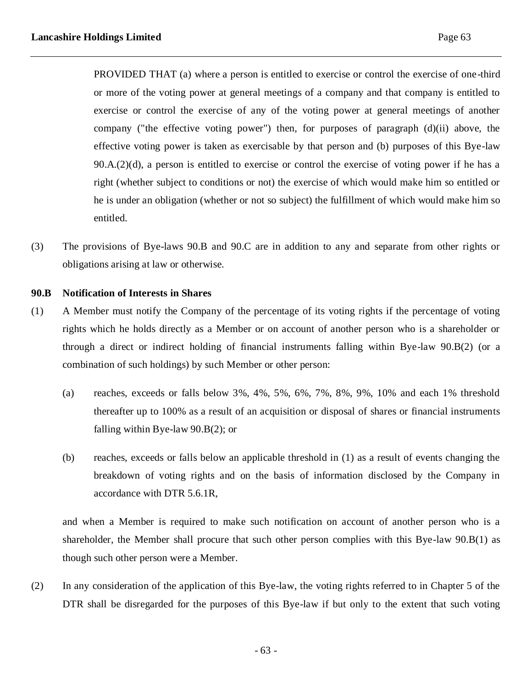PROVIDED THAT (a) where a person is entitled to exercise or control the exercise of one-third or more of the voting power at general meetings of a company and that company is entitled to exercise or control the exercise of any of the voting power at general meetings of another company ("the effective voting power") then, for purposes of paragraph (d)(ii) above, the effective voting power is taken as exercisable by that person and (b) purposes of this Bye-law  $90.A.(2)(d)$ , a person is entitled to exercise or control the exercise of voting power if he has a right (whether subject to conditions or not) the exercise of which would make him so entitled or he is under an obligation (whether or not so subject) the fulfillment of which would make him so entitled.

(3) The provisions of Bye-laws 90.B and 90.C are in addition to any and separate from other rights or obligations arising at law or otherwise.

### **90.B Notification of Interests in Shares**

- (1) A Member must notify the Company of the percentage of its voting rights if the percentage of voting rights which he holds directly as a Member or on account of another person who is a shareholder or through a direct or indirect holding of financial instruments falling within Bye-law 90.B(2) (or a combination of such holdings) by such Member or other person:
	- (a) reaches, exceeds or falls below 3%, 4%, 5%, 6%, 7%, 8%, 9%, 10% and each 1% threshold thereafter up to 100% as a result of an acquisition or disposal of shares or financial instruments falling within Bye-law 90.B(2); or
	- (b) reaches, exceeds or falls below an applicable threshold in (1) as a result of events changing the breakdown of voting rights and on the basis of information disclosed by the Company in accordance with DTR 5.6.1R,

and when a Member is required to make such notification on account of another person who is a shareholder, the Member shall procure that such other person complies with this Bye-law 90.B(1) as though such other person were a Member.

(2) In any consideration of the application of this Bye-law, the voting rights referred to in Chapter 5 of the DTR shall be disregarded for the purposes of this Bye-law if but only to the extent that such voting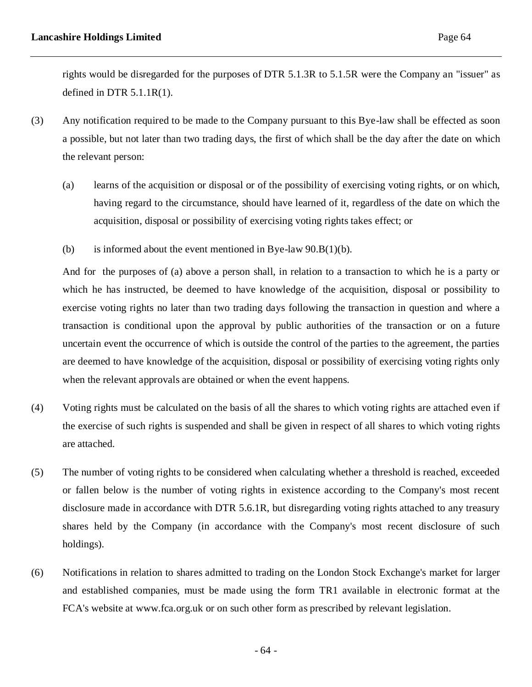rights would be disregarded for the purposes of DTR 5.1.3R to 5.1.5R were the Company an "issuer" as defined in DTR  $5.1.1R(1)$ .

- (3) Any notification required to be made to the Company pursuant to this Bye-law shall be effected as soon a possible, but not later than two trading days, the first of which shall be the day after the date on which the relevant person:
	- (a) learns of the acquisition or disposal or of the possibility of exercising voting rights, or on which, having regard to the circumstance, should have learned of it, regardless of the date on which the acquisition, disposal or possibility of exercising voting rights takes effect; or
	- (b) is informed about the event mentioned in Bye-law  $90.B(1)(b)$ .

And for the purposes of (a) above a person shall, in relation to a transaction to which he is a party or which he has instructed, be deemed to have knowledge of the acquisition, disposal or possibility to exercise voting rights no later than two trading days following the transaction in question and where a transaction is conditional upon the approval by public authorities of the transaction or on a future uncertain event the occurrence of which is outside the control of the parties to the agreement, the parties are deemed to have knowledge of the acquisition, disposal or possibility of exercising voting rights only when the relevant approvals are obtained or when the event happens.

- (4) Voting rights must be calculated on the basis of all the shares to which voting rights are attached even if the exercise of such rights is suspended and shall be given in respect of all shares to which voting rights are attached.
- (5) The number of voting rights to be considered when calculating whether a threshold is reached, exceeded or fallen below is the number of voting rights in existence according to the Company's most recent disclosure made in accordance with DTR 5.6.1R, but disregarding voting rights attached to any treasury shares held by the Company (in accordance with the Company's most recent disclosure of such holdings).
- (6) Notifications in relation to shares admitted to trading on the London Stock Exchange's market for larger and established companies, must be made using the form TR1 available in electronic format at the FCA's website at www.fca.org.uk or on such other form as prescribed by relevant legislation.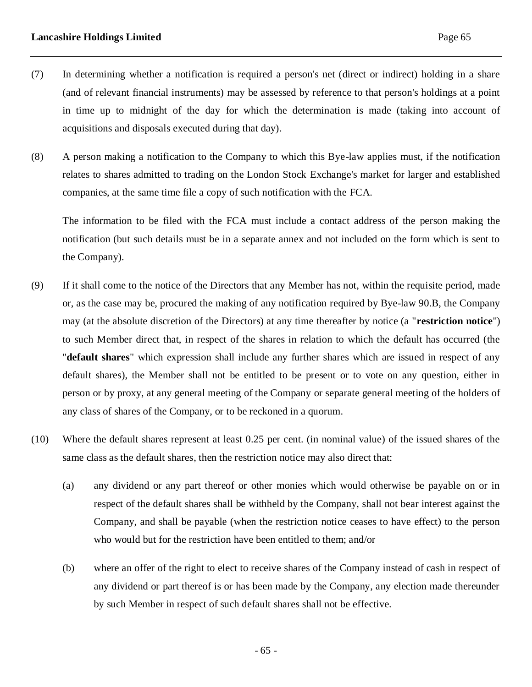- (7) In determining whether a notification is required a person's net (direct or indirect) holding in a share (and of relevant financial instruments) may be assessed by reference to that person's holdings at a point in time up to midnight of the day for which the determination is made (taking into account of acquisitions and disposals executed during that day).
- (8) A person making a notification to the Company to which this Bye-law applies must, if the notification relates to shares admitted to trading on the London Stock Exchange's market for larger and established companies, at the same time file a copy of such notification with the FCA.

The information to be filed with the FCA must include a contact address of the person making the notification (but such details must be in a separate annex and not included on the form which is sent to the Company).

- (9) If it shall come to the notice of the Directors that any Member has not, within the requisite period, made or, as the case may be, procured the making of any notification required by Bye-law 90.B, the Company may (at the absolute discretion of the Directors) at any time thereafter by notice (a "**restriction notice**") to such Member direct that, in respect of the shares in relation to which the default has occurred (the "**default shares**" which expression shall include any further shares which are issued in respect of any default shares), the Member shall not be entitled to be present or to vote on any question, either in person or by proxy, at any general meeting of the Company or separate general meeting of the holders of any class of shares of the Company, or to be reckoned in a quorum.
- (10) Where the default shares represent at least 0.25 per cent. (in nominal value) of the issued shares of the same class as the default shares, then the restriction notice may also direct that:
	- (a) any dividend or any part thereof or other monies which would otherwise be payable on or in respect of the default shares shall be withheld by the Company, shall not bear interest against the Company, and shall be payable (when the restriction notice ceases to have effect) to the person who would but for the restriction have been entitled to them; and/or
	- (b) where an offer of the right to elect to receive shares of the Company instead of cash in respect of any dividend or part thereof is or has been made by the Company, any election made thereunder by such Member in respect of such default shares shall not be effective.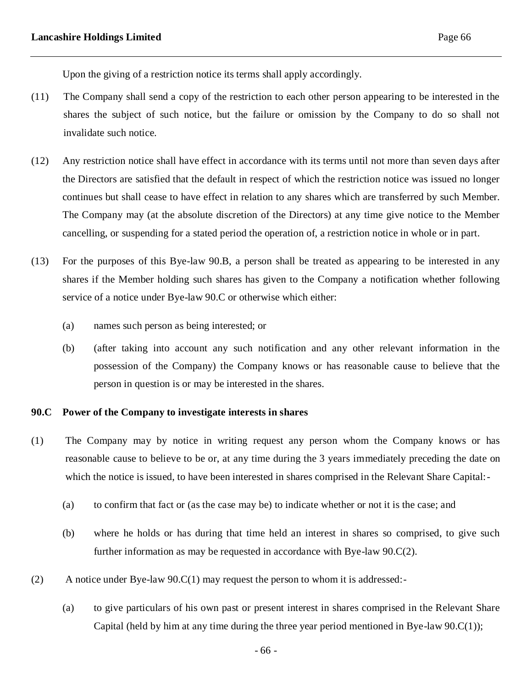Upon the giving of a restriction notice its terms shall apply accordingly.

- (11) The Company shall send a copy of the restriction to each other person appearing to be interested in the shares the subject of such notice, but the failure or omission by the Company to do so shall not invalidate such notice.
- (12) Any restriction notice shall have effect in accordance with its terms until not more than seven days after the Directors are satisfied that the default in respect of which the restriction notice was issued no longer continues but shall cease to have effect in relation to any shares which are transferred by such Member. The Company may (at the absolute discretion of the Directors) at any time give notice to the Member cancelling, or suspending for a stated period the operation of, a restriction notice in whole or in part.
- (13) For the purposes of this Bye-law 90.B, a person shall be treated as appearing to be interested in any shares if the Member holding such shares has given to the Company a notification whether following service of a notice under Bye-law 90.C or otherwise which either:
	- (a) names such person as being interested; or
	- (b) (after taking into account any such notification and any other relevant information in the possession of the Company) the Company knows or has reasonable cause to believe that the person in question is or may be interested in the shares.

### **90.C Power of the Company to investigate interests in shares**

- (1) The Company may by notice in writing request any person whom the Company knows or has reasonable cause to believe to be or, at any time during the 3 years immediately preceding the date on which the notice is issued, to have been interested in shares comprised in the Relevant Share Capital:-
	- (a) to confirm that fact or (as the case may be) to indicate whether or not it is the case; and
	- (b) where he holds or has during that time held an interest in shares so comprised, to give such further information as may be requested in accordance with Bye-law 90.C(2).
- (2) A notice under Bye-law 90.C(1) may request the person to whom it is addressed:-
	- (a) to give particulars of his own past or present interest in shares comprised in the Relevant Share Capital (held by him at any time during the three year period mentioned in Bye-law 90.C(1));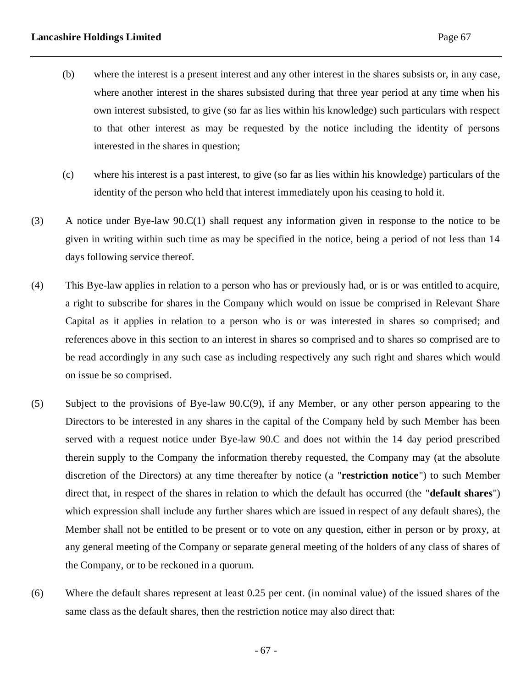- (b) where the interest is a present interest and any other interest in the shares subsists or, in any case, where another interest in the shares subsisted during that three year period at any time when his own interest subsisted, to give (so far as lies within his knowledge) such particulars with respect to that other interest as may be requested by the notice including the identity of persons interested in the shares in question;
- (c) where his interest is a past interest, to give (so far as lies within his knowledge) particulars of the identity of the person who held that interest immediately upon his ceasing to hold it.
- (3) A notice under Bye-law 90.C(1) shall request any information given in response to the notice to be given in writing within such time as may be specified in the notice, being a period of not less than 14 days following service thereof.
- (4) This Bye-law applies in relation to a person who has or previously had, or is or was entitled to acquire, a right to subscribe for shares in the Company which would on issue be comprised in Relevant Share Capital as it applies in relation to a person who is or was interested in shares so comprised; and references above in this section to an interest in shares so comprised and to shares so comprised are to be read accordingly in any such case as including respectively any such right and shares which would on issue be so comprised.
- (5) Subject to the provisions of Bye-law 90.C(9), if any Member, or any other person appearing to the Directors to be interested in any shares in the capital of the Company held by such Member has been served with a request notice under Bye-law 90.C and does not within the 14 day period prescribed therein supply to the Company the information thereby requested, the Company may (at the absolute discretion of the Directors) at any time thereafter by notice (a "**restriction notice**") to such Member direct that, in respect of the shares in relation to which the default has occurred (the "**default shares**") which expression shall include any further shares which are issued in respect of any default shares), the Member shall not be entitled to be present or to vote on any question, either in person or by proxy, at any general meeting of the Company or separate general meeting of the holders of any class of shares of the Company, or to be reckoned in a quorum.
- (6) Where the default shares represent at least 0.25 per cent. (in nominal value) of the issued shares of the same class as the default shares, then the restriction notice may also direct that: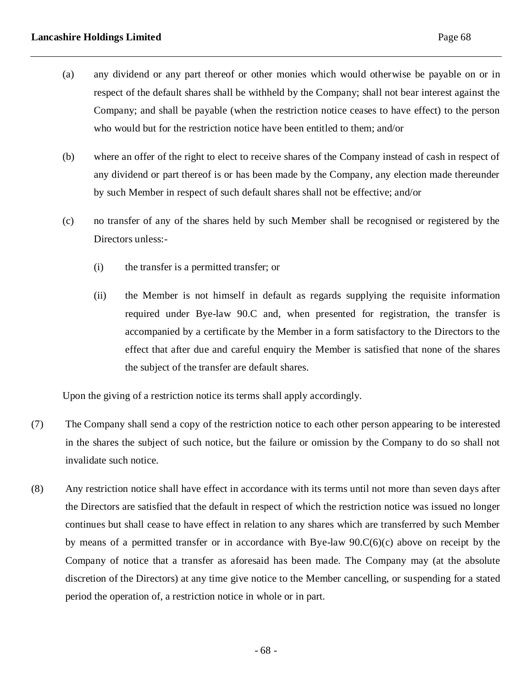- (a) any dividend or any part thereof or other monies which would otherwise be payable on or in respect of the default shares shall be withheld by the Company; shall not bear interest against the Company; and shall be payable (when the restriction notice ceases to have effect) to the person who would but for the restriction notice have been entitled to them; and/or
- (b) where an offer of the right to elect to receive shares of the Company instead of cash in respect of any dividend or part thereof is or has been made by the Company, any election made thereunder by such Member in respect of such default shares shall not be effective; and/or
- (c) no transfer of any of the shares held by such Member shall be recognised or registered by the Directors unless:-
	- (i) the transfer is a permitted transfer; or
	- (ii) the Member is not himself in default as regards supplying the requisite information required under Bye-law 90.C and, when presented for registration, the transfer is accompanied by a certificate by the Member in a form satisfactory to the Directors to the effect that after due and careful enquiry the Member is satisfied that none of the shares the subject of the transfer are default shares.

Upon the giving of a restriction notice its terms shall apply accordingly.

- (7) The Company shall send a copy of the restriction notice to each other person appearing to be interested in the shares the subject of such notice, but the failure or omission by the Company to do so shall not invalidate such notice.
- (8) Any restriction notice shall have effect in accordance with its terms until not more than seven days after the Directors are satisfied that the default in respect of which the restriction notice was issued no longer continues but shall cease to have effect in relation to any shares which are transferred by such Member by means of a permitted transfer or in accordance with Bye-law 90.C(6)(c) above on receipt by the Company of notice that a transfer as aforesaid has been made. The Company may (at the absolute discretion of the Directors) at any time give notice to the Member cancelling, or suspending for a stated period the operation of, a restriction notice in whole or in part.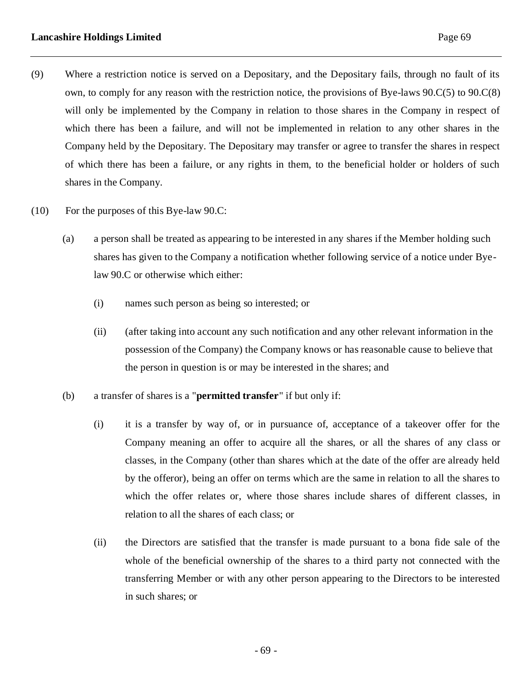- (9) Where a restriction notice is served on a Depositary, and the Depositary fails, through no fault of its own, to comply for any reason with the restriction notice, the provisions of Bye-laws 90.C(5) to 90.C(8) will only be implemented by the Company in relation to those shares in the Company in respect of which there has been a failure, and will not be implemented in relation to any other shares in the Company held by the Depositary. The Depositary may transfer or agree to transfer the shares in respect of which there has been a failure, or any rights in them, to the beneficial holder or holders of such shares in the Company.
- (10) For the purposes of this Bye-law 90.C:
	- (a) a person shall be treated as appearing to be interested in any shares if the Member holding such shares has given to the Company a notification whether following service of a notice under Byelaw 90.C or otherwise which either:
		- (i) names such person as being so interested; or
		- (ii) (after taking into account any such notification and any other relevant information in the possession of the Company) the Company knows or has reasonable cause to believe that the person in question is or may be interested in the shares; and
	- (b) a transfer of shares is a "**permitted transfer**" if but only if:
		- (i) it is a transfer by way of, or in pursuance of, acceptance of a takeover offer for the Company meaning an offer to acquire all the shares, or all the shares of any class or classes, in the Company (other than shares which at the date of the offer are already held by the offeror), being an offer on terms which are the same in relation to all the shares to which the offer relates or, where those shares include shares of different classes, in relation to all the shares of each class; or
		- (ii) the Directors are satisfied that the transfer is made pursuant to a bona fide sale of the whole of the beneficial ownership of the shares to a third party not connected with the transferring Member or with any other person appearing to the Directors to be interested in such shares; or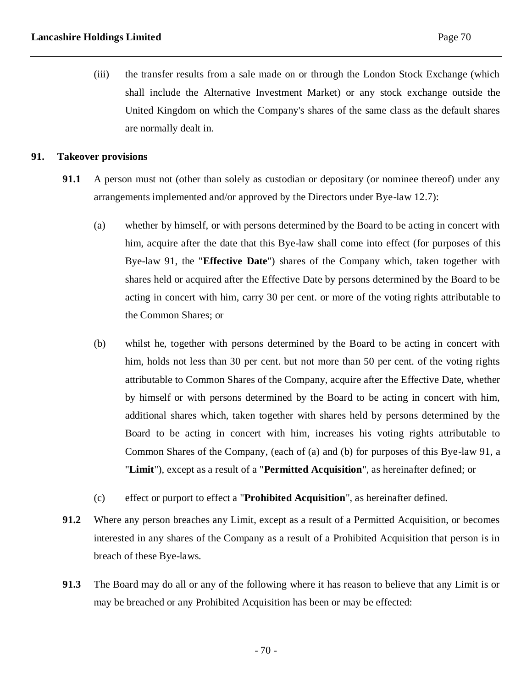(iii) the transfer results from a sale made on or through the London Stock Exchange (which shall include the Alternative Investment Market) or any stock exchange outside the United Kingdom on which the Company's shares of the same class as the default shares are normally dealt in.

## **91. Takeover provisions**

- **91.1** A person must not (other than solely as custodian or depositary (or nominee thereof) under any arrangements implemented and/or approved by the Directors under Bye-law 12.7):
	- (a) whether by himself, or with persons determined by the Board to be acting in concert with him, acquire after the date that this Bye-law shall come into effect (for purposes of this Bye-law 91, the "**Effective Date**") shares of the Company which, taken together with shares held or acquired after the Effective Date by persons determined by the Board to be acting in concert with him, carry 30 per cent. or more of the voting rights attributable to the Common Shares; or
	- (b) whilst he, together with persons determined by the Board to be acting in concert with him, holds not less than 30 per cent. but not more than 50 per cent. of the voting rights attributable to Common Shares of the Company, acquire after the Effective Date, whether by himself or with persons determined by the Board to be acting in concert with him, additional shares which, taken together with shares held by persons determined by the Board to be acting in concert with him, increases his voting rights attributable to Common Shares of the Company, (each of (a) and (b) for purposes of this Bye-law 91, a "**Limit**"), except as a result of a "**Permitted Acquisition**", as hereinafter defined; or
	- (c) effect or purport to effect a "**Prohibited Acquisition**", as hereinafter defined.
- **91.2** Where any person breaches any Limit, except as a result of a Permitted Acquisition, or becomes interested in any shares of the Company as a result of a Prohibited Acquisition that person is in breach of these Bye-laws.
- **91.3** The Board may do all or any of the following where it has reason to believe that any Limit is or may be breached or any Prohibited Acquisition has been or may be effected: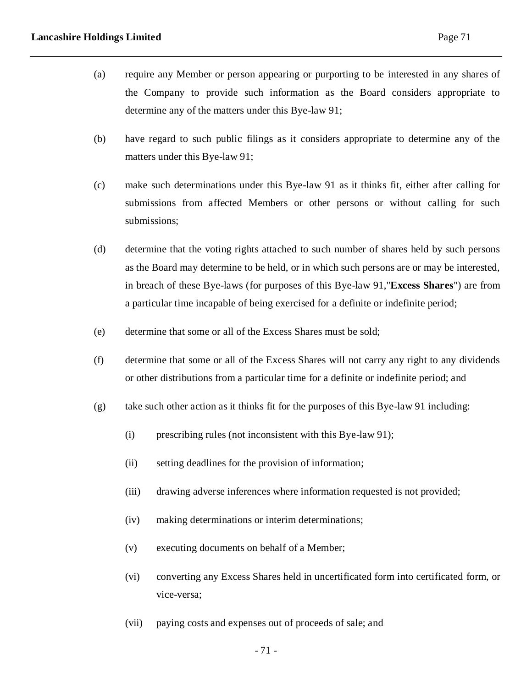- (a) require any Member or person appearing or purporting to be interested in any shares of the Company to provide such information as the Board considers appropriate to determine any of the matters under this Bye-law 91;
- (b) have regard to such public filings as it considers appropriate to determine any of the matters under this Bye-law 91;
- (c) make such determinations under this Bye-law 91 as it thinks fit, either after calling for submissions from affected Members or other persons or without calling for such submissions;
- (d) determine that the voting rights attached to such number of shares held by such persons as the Board may determine to be held, or in which such persons are or may be interested, in breach of these Bye-laws (for purposes of this Bye-law 91,"**Excess Shares**") are from a particular time incapable of being exercised for a definite or indefinite period;
- (e) determine that some or all of the Excess Shares must be sold;
- (f) determine that some or all of the Excess Shares will not carry any right to any dividends or other distributions from a particular time for a definite or indefinite period; and
- (g) take such other action as it thinks fit for the purposes of this Bye-law 91 including:
	- (i) prescribing rules (not inconsistent with this Bye-law 91);
	- (ii) setting deadlines for the provision of information;
	- (iii) drawing adverse inferences where information requested is not provided;
	- (iv) making determinations or interim determinations;
	- (v) executing documents on behalf of a Member;
	- (vi) converting any Excess Shares held in uncertificated form into certificated form, or vice-versa;
	- (vii) paying costs and expenses out of proceeds of sale; and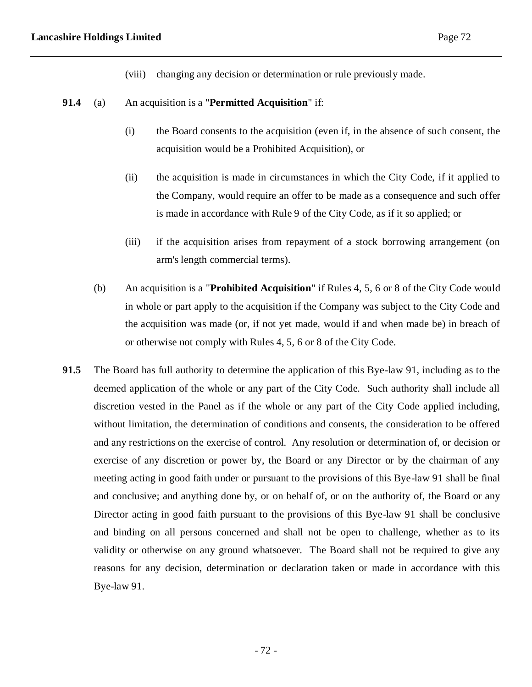## **Lancashire Holdings Limited** Page 72

- (viii) changing any decision or determination or rule previously made.
- **91.4** (a) An acquisition is a "**Permitted Acquisition**" if:
	- (i) the Board consents to the acquisition (even if, in the absence of such consent, the acquisition would be a Prohibited Acquisition), or
	- (ii) the acquisition is made in circumstances in which the City Code, if it applied to the Company, would require an offer to be made as a consequence and such offer is made in accordance with Rule 9 of the City Code, as if it so applied; or
	- (iii) if the acquisition arises from repayment of a stock borrowing arrangement (on arm's length commercial terms).
	- (b) An acquisition is a "**Prohibited Acquisition**" if Rules 4, 5, 6 or 8 of the City Code would in whole or part apply to the acquisition if the Company was subject to the City Code and the acquisition was made (or, if not yet made, would if and when made be) in breach of or otherwise not comply with Rules 4, 5, 6 or 8 of the City Code.
- **91.5** The Board has full authority to determine the application of this Bye-law 91, including as to the deemed application of the whole or any part of the City Code. Such authority shall include all discretion vested in the Panel as if the whole or any part of the City Code applied including, without limitation, the determination of conditions and consents, the consideration to be offered and any restrictions on the exercise of control. Any resolution or determination of, or decision or exercise of any discretion or power by, the Board or any Director or by the chairman of any meeting acting in good faith under or pursuant to the provisions of this Bye-law 91 shall be final and conclusive; and anything done by, or on behalf of, or on the authority of, the Board or any Director acting in good faith pursuant to the provisions of this Bye-law 91 shall be conclusive and binding on all persons concerned and shall not be open to challenge, whether as to its validity or otherwise on any ground whatsoever. The Board shall not be required to give any reasons for any decision, determination or declaration taken or made in accordance with this Bye-law 91.